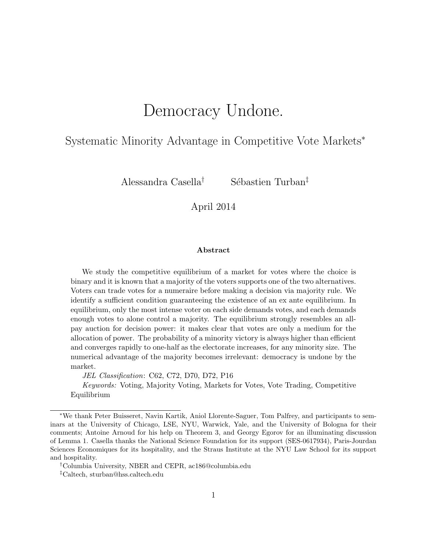# Democracy Undone.

# Systematic Minority Advantage in Competitive Vote Markets<sup>∗</sup>

Alessandra Casella<sup>†</sup> Sébastien Turban<sup>‡</sup>

April 2014

#### Abstract

We study the competitive equilibrium of a market for votes where the choice is binary and it is known that a majority of the voters supports one of the two alternatives. Voters can trade votes for a numeraire before making a decision via majority rule. We identify a sufficient condition guaranteeing the existence of an ex ante equilibrium. In equilibrium, only the most intense voter on each side demands votes, and each demands enough votes to alone control a majority. The equilibrium strongly resembles an allpay auction for decision power: it makes clear that votes are only a medium for the allocation of power. The probability of a minority victory is always higher than efficient and converges rapidly to one-half as the electorate increases, for any minority size. The numerical advantage of the majority becomes irrelevant: democracy is undone by the market.

JEL Classification: C62, C72, D70, D72, P16

Keywords: Voting, Majority Voting, Markets for Votes, Vote Trading, Competitive Equilibrium

<sup>∗</sup>We thank Peter Buisseret, Navin Kartik, Aniol Llorente-Saguer, Tom Palfrey, and participants to seminars at the University of Chicago, LSE, NYU, Warwick, Yale, and the University of Bologna for their comments; Antoine Arnoud for his help on Theorem 3, and Georgy Egorov for an illuminating discussion of Lemma 1. Casella thanks the National Science Foundation for its support (SES-0617934), Paris-Jourdan Sciences Economiques for its hospitality, and the Straus Institute at the NYU Law School for its support and hospitality.

<sup>†</sup>Columbia University, NBER and CEPR, ac186@columbia.edu

<sup>‡</sup>Caltech, sturban@hss.caltech.edu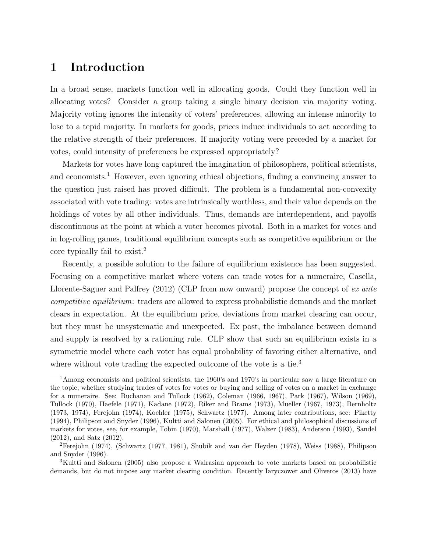# 1 Introduction

In a broad sense, markets function well in allocating goods. Could they function well in allocating votes? Consider a group taking a single binary decision via majority voting. Majority voting ignores the intensity of voters' preferences, allowing an intense minority to lose to a tepid majority. In markets for goods, prices induce individuals to act according to the relative strength of their preferences. If majority voting were preceded by a market for votes, could intensity of preferences be expressed appropriately?

Markets for votes have long captured the imagination of philosophers, political scientists, and economists.<sup>1</sup> However, even ignoring ethical objections, finding a convincing answer to the question just raised has proved difficult. The problem is a fundamental non-convexity associated with vote trading: votes are intrinsically worthless, and their value depends on the holdings of votes by all other individuals. Thus, demands are interdependent, and payoffs discontinuous at the point at which a voter becomes pivotal. Both in a market for votes and in log-rolling games, traditional equilibrium concepts such as competitive equilibrium or the core typically fail to exist.<sup>2</sup>

Recently, a possible solution to the failure of equilibrium existence has been suggested. Focusing on a competitive market where voters can trade votes for a numeraire, Casella, Llorente-Saguer and Palfrey (2012) (CLP from now onward) propose the concept of ex ante competitive equilibrium: traders are allowed to express probabilistic demands and the market clears in expectation. At the equilibrium price, deviations from market clearing can occur, but they must be unsystematic and unexpected. Ex post, the imbalance between demand and supply is resolved by a rationing rule. CLP show that such an equilibrium exists in a symmetric model where each voter has equal probability of favoring either alternative, and where without vote trading the expected outcome of the vote is a tie.<sup>3</sup>

<sup>1</sup>Among economists and political scientists, the 1960's and 1970's in particular saw a large literature on the topic, whether studying trades of votes for votes or buying and selling of votes on a market in exchange for a numeraire. See: Buchanan and Tullock (1962), Coleman (1966, 1967), Park (1967), Wilson (1969), Tullock (1970), Haefele (1971), Kadane (1972), Riker and Brams (1973), Mueller (1967, 1973), Bernholtz (1973, 1974), Ferejohn (1974), Koehler (1975), Schwartz (1977). Among later contributions, see: Piketty (1994), Philipson and Snyder (1996), Kultti and Salonen (2005). For ethical and philosophical discussions of markets for votes, see, for example, Tobin (1970), Marshall (1977), Walzer (1983), Anderson (1993), Sandel (2012), and Satz (2012).

<sup>2</sup>Ferejohn (1974), (Schwartz (1977, 1981), Shubik and van der Heyden (1978), Weiss (1988), Philipson and Snyder (1996).

<sup>3</sup>Kultti and Salonen (2005) also propose a Walrasian approach to vote markets based on probabilistic demands, but do not impose any market clearing condition. Recently Iaryczower and Oliveros (2013) have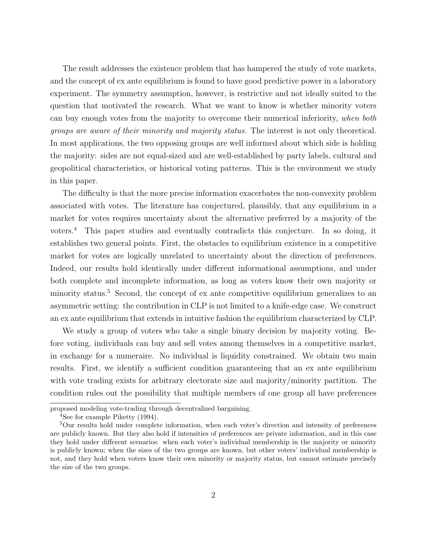The result addresses the existence problem that has hampered the study of vote markets, and the concept of ex ante equilibrium is found to have good predictive power in a laboratory experiment. The symmetry assumption, however, is restrictive and not ideally suited to the question that motivated the research. What we want to know is whether minority voters can buy enough votes from the majority to overcome their numerical inferiority, when both groups are aware of their minority and majority status. The interest is not only theoretical. In most applications, the two opposing groups are well informed about which side is holding the majority: sides are not equal-sized and are well-established by party labels, cultural and geopolitical characteristics, or historical voting patterns. This is the environment we study in this paper.

The difficulty is that the more precise information exacerbates the non-convexity problem associated with votes. The literature has conjectured, plausibly, that any equilibrium in a market for votes requires uncertainty about the alternative preferred by a majority of the voters.<sup>4</sup> This paper studies and eventually contradicts this conjecture. In so doing, it establishes two general points. First, the obstacles to equilibrium existence in a competitive market for votes are logically unrelated to uncertainty about the direction of preferences. Indeed, our results hold identically under different informational assumptions, and under both complete and incomplete information, as long as voters know their own majority or minority status.<sup>5</sup> Second, the concept of ex ante competitive equilibrium generalizes to an asymmetric setting: the contribution in CLP is not limited to a knife-edge case. We construct an ex ante equilibrium that extends in intuitive fashion the equilibrium characterized by CLP.

We study a group of voters who take a single binary decision by majority voting. Before voting, individuals can buy and sell votes among themselves in a competitive market, in exchange for a numeraire. No individual is liquidity constrained. We obtain two main results. First, we identify a sufficient condition guaranteeing that an ex ante equilibrium with vote trading exists for arbitrary electorate size and majority/minority partition. The condition rules out the possibility that multiple members of one group all have preferences

proposed modeling vote-trading through decentralized bargaining.

<sup>4</sup>See for example Piketty (1994).

<sup>5</sup>Our results hold under complete information, when each voter's direction and intensity of preferences are publicly known. But they also hold if intensities of preferences are private information, and in this case they hold under different scenarios: when each voter's individual membership in the majority or minority is publicly known; when the sizes of the two groups are known, but other voters' individual membership is not, and they hold when voters know their own minority or majority status, but cannot estimate precisely the size of the two groups.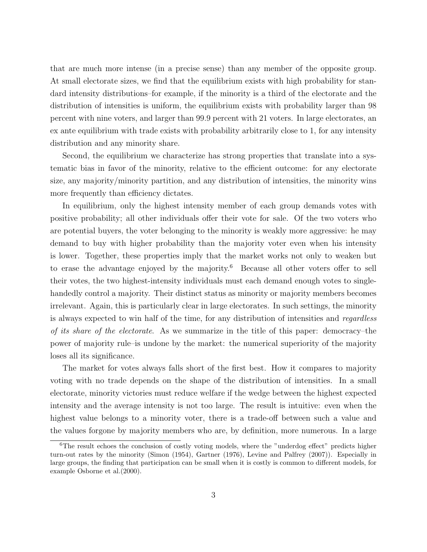that are much more intense (in a precise sense) than any member of the opposite group. At small electorate sizes, we find that the equilibrium exists with high probability for standard intensity distributions–for example, if the minority is a third of the electorate and the distribution of intensities is uniform, the equilibrium exists with probability larger than 98 percent with nine voters, and larger than 99.9 percent with 21 voters. In large electorates, an ex ante equilibrium with trade exists with probability arbitrarily close to 1, for any intensity distribution and any minority share.

Second, the equilibrium we characterize has strong properties that translate into a systematic bias in favor of the minority, relative to the efficient outcome: for any electorate size, any majority/minority partition, and any distribution of intensities, the minority wins more frequently than efficiency dictates.

In equilibrium, only the highest intensity member of each group demands votes with positive probability; all other individuals offer their vote for sale. Of the two voters who are potential buyers, the voter belonging to the minority is weakly more aggressive: he may demand to buy with higher probability than the majority voter even when his intensity is lower. Together, these properties imply that the market works not only to weaken but to erase the advantage enjoyed by the majority.<sup>6</sup> Because all other voters offer to sell their votes, the two highest-intensity individuals must each demand enough votes to singlehandedly control a majority. Their distinct status as minority or majority members becomes irrelevant. Again, this is particularly clear in large electorates. In such settings, the minority is always expected to win half of the time, for any distribution of intensities and regardless of its share of the electorate. As we summarize in the title of this paper: democracy–the power of majority rule–is undone by the market: the numerical superiority of the majority loses all its significance.

The market for votes always falls short of the first best. How it compares to majority voting with no trade depends on the shape of the distribution of intensities. In a small electorate, minority victories must reduce welfare if the wedge between the highest expected intensity and the average intensity is not too large. The result is intuitive: even when the highest value belongs to a minority voter, there is a trade-off between such a value and the values forgone by majority members who are, by definition, more numerous. In a large

<sup>&</sup>lt;sup>6</sup>The result echoes the conclusion of costly voting models, where the "underdog effect" predicts higher turn-out rates by the minority (Simon (1954), Gartner (1976), Levine and Palfrey (2007)). Especially in large groups, the finding that participation can be small when it is costly is common to different models, for example Osborne et al.(2000).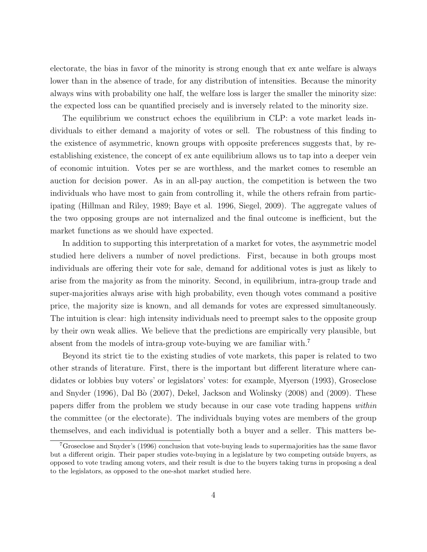electorate, the bias in favor of the minority is strong enough that ex ante welfare is always lower than in the absence of trade, for any distribution of intensities. Because the minority always wins with probability one half, the welfare loss is larger the smaller the minority size: the expected loss can be quantified precisely and is inversely related to the minority size.

The equilibrium we construct echoes the equilibrium in CLP: a vote market leads individuals to either demand a majority of votes or sell. The robustness of this finding to the existence of asymmetric, known groups with opposite preferences suggests that, by reestablishing existence, the concept of ex ante equilibrium allows us to tap into a deeper vein of economic intuition. Votes per se are worthless, and the market comes to resemble an auction for decision power. As in an all-pay auction, the competition is between the two individuals who have most to gain from controlling it, while the others refrain from participating (Hillman and Riley, 1989; Baye et al. 1996, Siegel, 2009). The aggregate values of the two opposing groups are not internalized and the final outcome is inefficient, but the market functions as we should have expected.

In addition to supporting this interpretation of a market for votes, the asymmetric model studied here delivers a number of novel predictions. First, because in both groups most individuals are offering their vote for sale, demand for additional votes is just as likely to arise from the majority as from the minority. Second, in equilibrium, intra-group trade and super-majorities always arise with high probability, even though votes command a positive price, the majority size is known, and all demands for votes are expressed simultaneously. The intuition is clear: high intensity individuals need to preempt sales to the opposite group by their own weak allies. We believe that the predictions are empirically very plausible, but absent from the models of intra-group vote-buying we are familiar with.<sup>7</sup>

Beyond its strict tie to the existing studies of vote markets, this paper is related to two other strands of literature. First, there is the important but different literature where candidates or lobbies buy voters' or legislators' votes: for example, Myerson (1993), Groseclose and Snyder (1996), Dal Bò (2007), Dekel, Jackson and Wolinsky (2008) and (2009). These papers differ from the problem we study because in our case vote trading happens within the committee (or the electorate). The individuals buying votes are members of the group themselves, and each individual is potentially both a buyer and a seller. This matters be-

<sup>7</sup>Groseclose and Snyder's (1996) conclusion that vote-buying leads to supermajorities has the same flavor but a different origin. Their paper studies vote-buying in a legislature by two competing outside buyers, as opposed to vote trading among voters, and their result is due to the buyers taking turns in proposing a deal to the legislators, as opposed to the one-shot market studied here.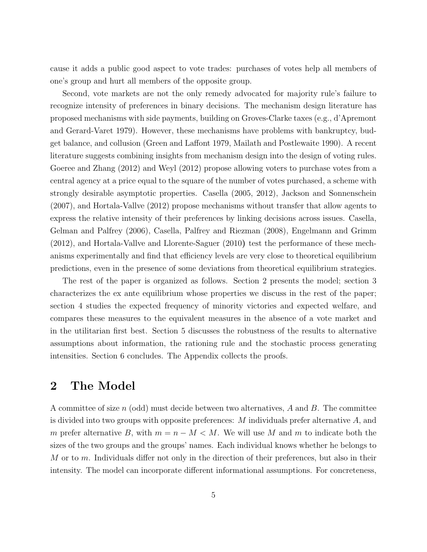cause it adds a public good aspect to vote trades: purchases of votes help all members of one's group and hurt all members of the opposite group.

Second, vote markets are not the only remedy advocated for majority rule's failure to recognize intensity of preferences in binary decisions. The mechanism design literature has proposed mechanisms with side payments, building on Groves-Clarke taxes (e.g., d'Apremont and Gerard-Varet 1979). However, these mechanisms have problems with bankruptcy, budget balance, and collusion (Green and Laffont 1979, Mailath and Postlewaite 1990). A recent literature suggests combining insights from mechanism design into the design of voting rules. Goeree and Zhang (2012) and Weyl (2012) propose allowing voters to purchase votes from a central agency at a price equal to the square of the number of votes purchased, a scheme with strongly desirable asymptotic properties. Casella (2005, 2012), Jackson and Sonnenschein (2007), and Hortala-Vallve (2012) propose mechanisms without transfer that allow agents to express the relative intensity of their preferences by linking decisions across issues. Casella, Gelman and Palfrey (2006), Casella, Palfrey and Riezman (2008), Engelmann and Grimm (2012), and Hortala-Vallve and Llorente-Saguer (2010) test the performance of these mechanisms experimentally and find that efficiency levels are very close to theoretical equilibrium predictions, even in the presence of some deviations from theoretical equilibrium strategies.

The rest of the paper is organized as follows. Section 2 presents the model; section 3 characterizes the ex ante equilibrium whose properties we discuss in the rest of the paper; section 4 studies the expected frequency of minority victories and expected welfare, and compares these measures to the equivalent measures in the absence of a vote market and in the utilitarian first best. Section 5 discusses the robustness of the results to alternative assumptions about information, the rationing rule and the stochastic process generating intensities. Section 6 concludes. The Appendix collects the proofs.

### 2 The Model

A committee of size n (odd) must decide between two alternatives,  $A$  and  $B$ . The committee is divided into two groups with opposite preferences:  $M$  individuals prefer alternative  $A$ , and m prefer alternative B, with  $m = n - M < M$ . We will use M and m to indicate both the sizes of the two groups and the groups' names. Each individual knows whether he belongs to M or to  $m$ . Individuals differ not only in the direction of their preferences, but also in their intensity. The model can incorporate different informational assumptions. For concreteness,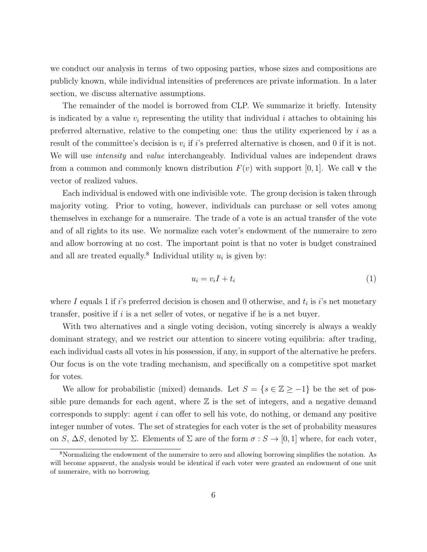we conduct our analysis in terms of two opposing parties, whose sizes and compositions are publicly known, while individual intensities of preferences are private information. In a later section, we discuss alternative assumptions.

The remainder of the model is borrowed from CLP. We summarize it briefly. Intensity is indicated by a value  $v_i$  representing the utility that individual i attaches to obtaining his preferred alternative, relative to the competing one: thus the utility experienced by  $i$  as a result of the committee's decision is  $v_i$  if i's preferred alternative is chosen, and 0 if it is not. We will use *intensity* and *value* interchangeably. Individual values are independent draws from a common and commonly known distribution  $F(v)$  with support [0, 1]. We call v the vector of realized values.

Each individual is endowed with one indivisible vote. The group decision is taken through majority voting. Prior to voting, however, individuals can purchase or sell votes among themselves in exchange for a numeraire. The trade of a vote is an actual transfer of the vote and of all rights to its use. We normalize each voter's endowment of the numeraire to zero and allow borrowing at no cost. The important point is that no voter is budget constrained and all are treated equally.<sup>8</sup> Individual utility  $u_i$  is given by:

$$
u_i = v_i I + t_i \tag{1}
$$

where I equals 1 if i's preferred decision is chosen and 0 otherwise, and  $t_i$  is i's net monetary transfer, positive if i is a net seller of votes, or negative if he is a net buyer.

With two alternatives and a single voting decision, voting sincerely is always a weakly dominant strategy, and we restrict our attention to sincere voting equilibria: after trading, each individual casts all votes in his possession, if any, in support of the alternative he prefers. Our focus is on the vote trading mechanism, and specifically on a competitive spot market for votes.

We allow for probabilistic (mixed) demands. Let  $S = \{s \in \mathbb{Z} \ge -1\}$  be the set of possible pure demands for each agent, where  $\mathbb Z$  is the set of integers, and a negative demand corresponds to supply: agent  $i$  can offer to sell his vote, do nothing, or demand any positive integer number of votes. The set of strategies for each voter is the set of probability measures on S,  $\Delta S$ , denoted by  $\Sigma$ . Elements of  $\Sigma$  are of the form  $\sigma : S \to [0,1]$  where, for each voter,

<sup>&</sup>lt;sup>8</sup>Normalizing the endowment of the numeraire to zero and allowing borrowing simplifies the notation. As will become apparent, the analysis would be identical if each voter were granted an endowment of one unit of numeraire, with no borrowing.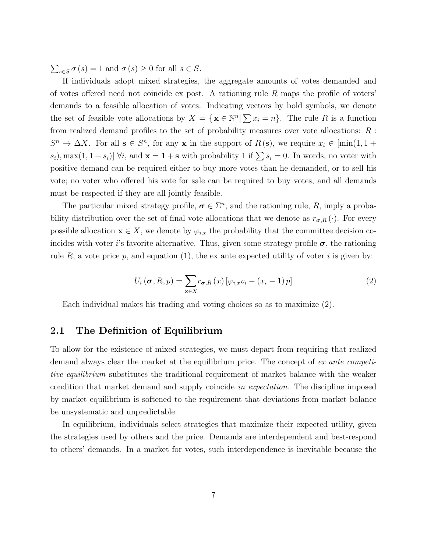$\sum_{s \in S} \sigma(s) = 1$  and  $\sigma(s) \ge 0$  for all  $s \in S$ .

If individuals adopt mixed strategies, the aggregate amounts of votes demanded and of votes offered need not coincide ex post. A rationing rule R maps the profile of voters' demands to a feasible allocation of votes. Indicating vectors by bold symbols, we denote the set of feasible vote allocations by  $X = \{ \mathbf{x} \in \mathbb{N}^n | \sum x_i = n \}.$  The rule R is a function from realized demand profiles to the set of probability measures over vote allocations: R :  $S^n \to \Delta X$ . For all  $s \in S^n$ , for any x in the support of  $R(s)$ , we require  $x_i \in [\min(1, 1 +$  $s_i$ , max $(1, 1 + s_i)$   $\forall i$ , and  $\mathbf{x} = \mathbf{1} + \mathbf{s}$  with probability 1 if  $\sum s_i = 0$ . In words, no voter with positive demand can be required either to buy more votes than he demanded, or to sell his vote; no voter who offered his vote for sale can be required to buy votes, and all demands must be respected if they are all jointly feasible.

The particular mixed strategy profile,  $\sigma \in \Sigma^n$ , and the rationing rule, R, imply a probability distribution over the set of final vote allocations that we denote as  $r_{\sigma,R}(\cdot)$ . For every possible allocation  $\mathbf{x} \in X$ , we denote by  $\varphi_{i,x}$  the probability that the committee decision coincides with voter i's favorite alternative. Thus, given some strategy profile  $\sigma$ , the rationing rule R, a vote price p, and equation (1), the ex ante expected utility of voter i is given by:

$$
U_i(\boldsymbol{\sigma}, R, p) = \sum_{\mathbf{x} \in X} r_{\boldsymbol{\sigma}, R}(x) \left[ \varphi_{i,x} v_i - (x_i - 1) p \right]
$$
 (2)

Each individual makes his trading and voting choices so as to maximize (2).

### 2.1 The Definition of Equilibrium

To allow for the existence of mixed strategies, we must depart from requiring that realized demand always clear the market at the equilibrium price. The concept of ex ante competitive equilibrium substitutes the traditional requirement of market balance with the weaker condition that market demand and supply coincide in expectation. The discipline imposed by market equilibrium is softened to the requirement that deviations from market balance be unsystematic and unpredictable.

In equilibrium, individuals select strategies that maximize their expected utility, given the strategies used by others and the price. Demands are interdependent and best-respond to others' demands. In a market for votes, such interdependence is inevitable because the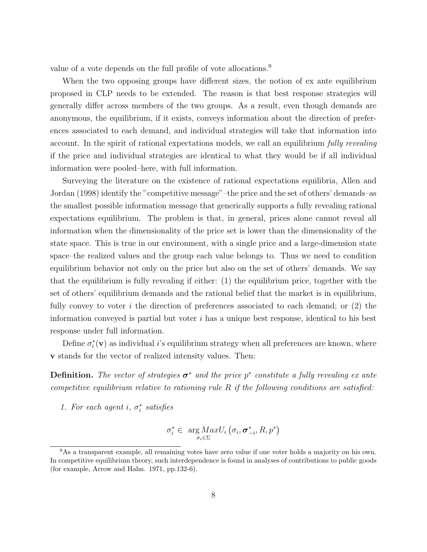value of a vote depends on the full profile of vote allocations.<sup>9</sup>

When the two opposing groups have different sizes, the notion of ex ante equilibrium proposed in CLP needs to be extended. The reason is that best response strategies will generally differ across members of the two groups. As a result, even though demands are anonymous, the equilibrium, if it exists, conveys information about the direction of preferences associated to each demand, and individual strategies will take that information into account. In the spirit of rational expectations models, we call an equilibrium fully revealing if the price and individual strategies are identical to what they would be if all individual information were pooled–here, with full information.

Surveying the literature on the existence of rational expectations equilibria, Allen and Jordan (1998) identify the "competitive message"–the price and the set of others' demands–as the smallest possible information message that generically supports a fully revealing rational expectations equilibrium. The problem is that, in general, prices alone cannot reveal all information when the dimensionality of the price set is lower than the dimensionality of the state space. This is true in our environment, with a single price and a large-dimension state space–the realized values and the group each value belongs to. Thus we need to condition equilibrium behavior not only on the price but also on the set of others' demands. We say that the equilibrium is fully revealing if either: (1) the equilibrium price, together with the set of others' equilibrium demands and the rational belief that the market is in equilibrium, fully convey to voter i the direction of preferences associated to each demand; or  $(2)$  the information conveyed is partial but voter  $i$  has a unique best response, identical to his best response under full information.

Define  $\sigma_i^*(\mathbf{v})$  as individual *i*'s equilibrium strategy when all preferences are known, where v stands for the vector of realized intensity values. Then:

**Definition.** The vector of strategies  $\sigma^*$  and the price  $p^*$  constitute a fully revealing ex ante competitive equilibrium relative to rationing rule  $R$  if the following conditions are satisfied:

1. For each agent i,  $\sigma_i^*$  satisfies

$$
\sigma_i^* \in \arg\underset{\sigma_i \in \Sigma}{\arg\,MaxU_i} \left( \sigma_i, \sigma_{-i}^*, R, p^* \right)
$$

<sup>&</sup>lt;sup>9</sup>As a transparent example, all remaining votes have zero value if one voter holds a majority on his own. In competitive equilibrium theory, such interdependence is found in analyses of contributions to public goods (for example, Arrow and Hahn. 1971, pp.132-6).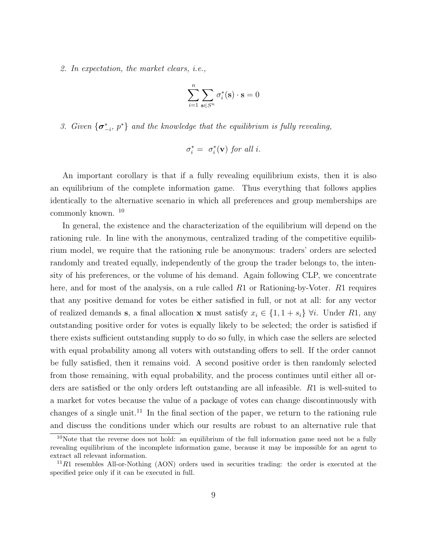2. In expectation, the market clears, i.e.,

$$
\sum_{i=1}^n \sum_{{\mathbf s}\in S^n}\sigma_i^*({\mathbf s})\cdot {\mathbf s}=0
$$

3. Given  $\{\sigma_{-i}^*, p^*\}$  and the knowledge that the equilibrium is fully revealing,

$$
\sigma_i^* = \sigma_i^*(\mathbf{v}) \text{ for all } i.
$$

An important corollary is that if a fully revealing equilibrium exists, then it is also an equilibrium of the complete information game. Thus everything that follows applies identically to the alternative scenario in which all preferences and group memberships are commonly known. <sup>10</sup>

In general, the existence and the characterization of the equilibrium will depend on the rationing rule. In line with the anonymous, centralized trading of the competitive equilibrium model, we require that the rationing rule be anonymous: traders' orders are selected randomly and treated equally, independently of the group the trader belongs to, the intensity of his preferences, or the volume of his demand. Again following CLP, we concentrate here, and for most of the analysis, on a rule called R1 or Rationing-by-Voter. R1 requires that any positive demand for votes be either satisfied in full, or not at all: for any vector of realized demands s, a final allocation x must satisfy  $x_i \in \{1, 1 + s_i\}$   $\forall i$ . Under R1, any outstanding positive order for votes is equally likely to be selected; the order is satisfied if there exists sufficient outstanding supply to do so fully, in which case the sellers are selected with equal probability among all voters with outstanding offers to sell. If the order cannot be fully satisfied, then it remains void. A second positive order is then randomly selected from those remaining, with equal probability, and the process continues until either all orders are satisfied or the only orders left outstanding are all infeasible. R1 is well-suited to a market for votes because the value of a package of votes can change discontinuously with changes of a single unit.<sup>11</sup> In the final section of the paper, we return to the rationing rule and discuss the conditions under which our results are robust to an alternative rule that

<sup>&</sup>lt;sup>10</sup>Note that the reverse does not hold: an equilibrium of the full information game need not be a fully revealing equilibrium of the incomplete information game, because it may be impossible for an agent to extract all relevant information.

 $11R1$  resembles All-or-Nothing (AON) orders used in securities trading: the order is executed at the specified price only if it can be executed in full.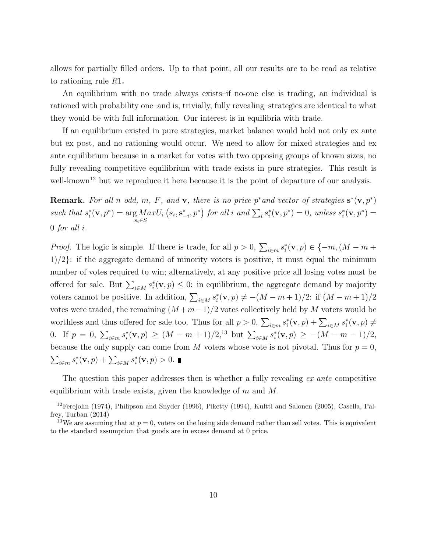allows for partially filled orders. Up to that point, all our results are to be read as relative to rationing rule R1.

An equilibrium with no trade always exists–if no-one else is trading, an individual is rationed with probability one–and is, trivially, fully revealing–strategies are identical to what they would be with full information. Our interest is in equilibria with trade.

If an equilibrium existed in pure strategies, market balance would hold not only ex ante but ex post, and no rationing would occur. We need to allow for mixed strategies and ex ante equilibrium because in a market for votes with two opposing groups of known sizes, no fully revealing competitive equilibrium with trade exists in pure strategies. This result is well-known<sup>12</sup> but we reproduce it here because it is the point of departure of our analysis.

**Remark.** For all n odd, m, F, and v, there is no price p<sup>\*</sup> and vector of strategies  $\mathbf{s}^*(\mathbf{v},p^*)$ such that  $s_i^*(\mathbf{v}, p^*) = \arg Max$  $s_i \in S$  $U_i(s_i, \mathbf{s}_{-i}^*, p^*)$  for all i and  $\sum_i s_i^*(\mathbf{v}, p^*) = 0$ , unless  $s_i^*(\mathbf{v}, p^*) = 0$ 0 for all i.

*Proof.* The logic is simple. If there is trade, for all  $p > 0$ ,  $\sum_{i \in m} s_i^*(\mathbf{v}, p) \in \{-m, (M - m + \mathbf{v})\}$  $1/2$ : if the aggregate demand of minority voters is positive, it must equal the minimum number of votes required to win; alternatively, at any positive price all losing votes must be offered for sale. But  $\sum_{i\in M} s_i^*(\mathbf{v}, p) \leq 0$ : in equilibrium, the aggregate demand by majority voters cannot be positive. In addition,  $\sum_{i \in M} s_i^*(\mathbf{v}, p) \neq -(M - m + 1)/2$ : if  $(M - m + 1)/2$ votes were traded, the remaining  $(M+m-1)/2$  votes collectively held by M voters would be worthless and thus offered for sale too. Thus for all  $p > 0$ ,  $\sum_{i \in m} s_i^*(\mathbf{v}, p) + \sum_{i \in M} s_i^*(\mathbf{v}, p) \neq$ 0. If  $p = 0$ ,  $\sum_{i \in m} s_i^*(\mathbf{v}, p) \ge (M - m + 1)/2$ ,<sup>13</sup> but  $\sum_{i \in M} s_i^*(\mathbf{v}, p) \ge -(M - m - 1)/2$ , because the only supply can come from M voters whose vote is not pivotal. Thus for  $p = 0$ ,  $\sum_{i \in m} s_i^*(\mathbf{v}, p) + \sum_{i \in M} s_i^*(\mathbf{v}, p) > 0.$ 

The question this paper addresses then is whether a fully revealing ex ante competitive equilibrium with trade exists, given the knowledge of  $m$  and  $M$ .

<sup>12</sup>Ferejohn (1974), Philipson and Snyder (1996), Piketty (1994), Kultti and Salonen (2005), Casella, Palfrey, Turban (2014)

<sup>&</sup>lt;sup>13</sup>We are assuming that at  $p = 0$ , voters on the losing side demand rather than sell votes. This is equivalent to the standard assumption that goods are in excess demand at 0 price.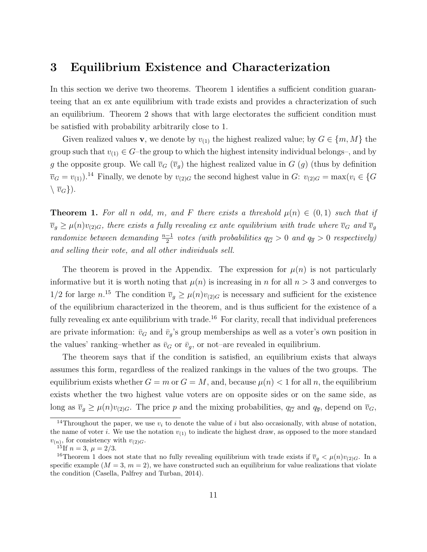### 3 Equilibrium Existence and Characterization

In this section we derive two theorems. Theorem 1 identifies a sufficient condition guaranteeing that an ex ante equilibrium with trade exists and provides a chracterization of such an equilibrium. Theorem 2 shows that with large electorates the sufficient condition must be satisfied with probability arbitrarily close to 1.

Given realized values **v**, we denote by  $v_{(1)}$  the highest realized value; by  $G \in \{m, M\}$  the group such that  $v_{(1)} \in G$ -the group to which the highest intensity individual belongs–, and by g the opposite group. We call  $\overline{v}_G(\overline{v}_g)$  the highest realized value in G  $(g)$  (thus by definition  $\overline{v}_G = v_{(1)}$ .<sup>14</sup> Finally, we denote by  $v_{(2)G}$  the second highest value in G:  $v_{(2)G} = \max(v_i \in \{G\})$  $\langle \overline{v}_G \rangle$ ).

**Theorem 1.** For all n odd, m, and F there exists a threshold  $\mu(n) \in (0,1)$  such that if  $\overline{v}_g \ge \mu(n)v_{(2)G}$ , there exists a fully revealing ex ante equilibrium with trade where  $\overline{v}_G$  and  $\overline{v}_g$ randomize between demanding  $\frac{n-1}{2}$  votes (with probabilities  $q_{\overline{G}} > 0$  and  $q_{\overline{g}} > 0$  respectively) and selling their vote, and all other individuals sell.

The theorem is proved in the Appendix. The expression for  $\mu(n)$  is not particularly informative but it is worth noting that  $\mu(n)$  is increasing in n for all  $n > 3$  and converges to  $1/2$  for large  $n^{15}$ . The condition  $\overline{v}_g \ge \mu(n)v_{(2)G}$  is necessary and sufficient for the existence of the equilibrium characterized in the theorem, and is thus sufficient for the existence of a fully revealing  $ex$  ante equilibrium with trade.<sup>16</sup> For clarity, recall that individual preferences are private information:  $\bar{v}_G$  and  $\bar{v}_g$ 's group memberships as well as a voter's own position in the values' ranking–whether as  $\bar{v}_G$  or  $\bar{v}_g$ , or not–are revealed in equilibrium.

The theorem says that if the condition is satisfied, an equilibrium exists that always assumes this form, regardless of the realized rankings in the values of the two groups. The equilibrium exists whether  $G = m$  or  $G = M$ , and, because  $\mu(n) < 1$  for all n, the equilibrium exists whether the two highest value voters are on opposite sides or on the same side, as long as  $\overline{v}_g \ge \mu(n)v_{(2)G}$ . The price p and the mixing probabilities,  $q_{\overline{G}}$  and  $q_{\overline{g}}$ , depend on  $\overline{v}_G$ ,

<sup>&</sup>lt;sup>14</sup>Throughout the paper, we use  $v_i$  to denote the value of i but also occasionally, with abuse of notation, the name of voter i. We use the notation  $v_{(1)}$  to indicate the highest draw, as opposed to the more standard  $v_{(n)}$ , for consistency with  $v_{(2)G}$ .

<sup>&</sup>lt;sup>15</sup>If  $n = 3, \mu = 2/3$ .

<sup>&</sup>lt;sup>16</sup>Theorem 1 does not state that no fully revealing equilibrium with trade exists if  $\overline{v}_g < \mu(n)v_{(2)G}$ . In a specific example  $(M = 3, m = 2)$ , we have constructed such an equilibrium for value realizations that violate the condition (Casella, Palfrey and Turban, 2014).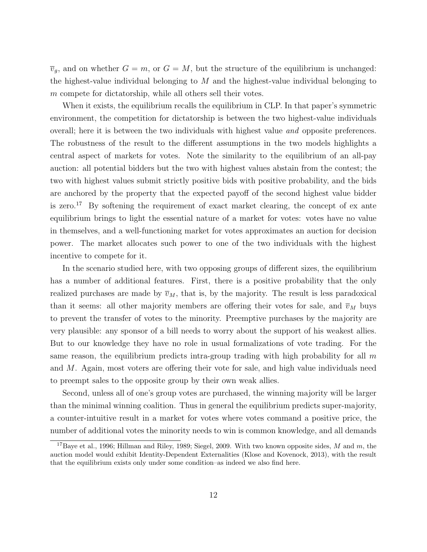$\overline{v}_q$ , and on whether  $G = m$ , or  $G = M$ , but the structure of the equilibrium is unchanged: the highest-value individual belonging to  $M$  and the highest-value individual belonging to  $m$  compete for dictatorship, while all others sell their votes.

When it exists, the equilibrium recalls the equilibrium in CLP. In that paper's symmetric environment, the competition for dictatorship is between the two highest-value individuals overall; here it is between the two individuals with highest value and opposite preferences. The robustness of the result to the different assumptions in the two models highlights a central aspect of markets for votes. Note the similarity to the equilibrium of an all-pay auction: all potential bidders but the two with highest values abstain from the contest; the two with highest values submit strictly positive bids with positive probability, and the bids are anchored by the property that the expected payoff of the second highest value bidder is zero.<sup>17</sup> By softening the requirement of exact market clearing, the concept of  $ex$  ante equilibrium brings to light the essential nature of a market for votes: votes have no value in themselves, and a well-functioning market for votes approximates an auction for decision power. The market allocates such power to one of the two individuals with the highest incentive to compete for it.

In the scenario studied here, with two opposing groups of different sizes, the equilibrium has a number of additional features. First, there is a positive probability that the only realized purchases are made by  $\overline{v}_M$ , that is, by the majority. The result is less paradoxical than it seems: all other majority members are offering their votes for sale, and  $\overline{v}_M$  buys to prevent the transfer of votes to the minority. Preemptive purchases by the majority are very plausible: any sponsor of a bill needs to worry about the support of his weakest allies. But to our knowledge they have no role in usual formalizations of vote trading. For the same reason, the equilibrium predicts intra-group trading with high probability for all  $m$ and M. Again, most voters are offering their vote for sale, and high value individuals need to preempt sales to the opposite group by their own weak allies.

Second, unless all of one's group votes are purchased, the winning majority will be larger than the minimal winning coalition. Thus in general the equilibrium predicts super-majority, a counter-intuitive result in a market for votes where votes command a positive price, the number of additional votes the minority needs to win is common knowledge, and all demands

<sup>&</sup>lt;sup>17</sup>Baye et al., 1996; Hillman and Riley, 1989; Siegel, 2009. With two known opposite sides, M and m, the auction model would exhibit Identity-Dependent Externalities (Klose and Kovenock, 2013), with the result that the equilibrium exists only under some condition–as indeed we also find here.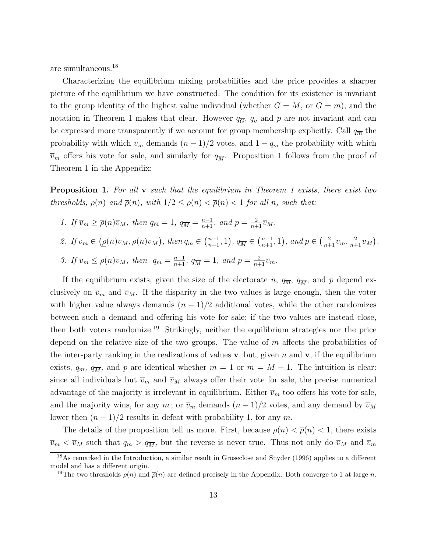are simultaneous.<sup>18</sup>

Characterizing the equilibrium mixing probabilities and the price provides a sharper picture of the equilibrium we have constructed. The condition for its existence is invariant to the group identity of the highest value individual (whether  $G = M$ , or  $G = m$ ), and the notation in Theorem 1 makes that clear. However  $q_{\overline{G}}$ ,  $q_{\overline{g}}$  and p are not invariant and can be expressed more transparently if we account for group membership explicitly. Call  $q_{\overline{m}}$  the probability with which  $\overline{v}_m$  demands  $(n-1)/2$  votes, and  $1-q_{\overline{m}}$  the probability with which  $\overline{v}_m$  offers his vote for sale, and similarly for  $q_{\overline{M}}$ . Proposition 1 follows from the proof of Theorem 1 in the Appendix:

**Proposition 1.** For all  $\bf{v}$  such that the equilibrium in Theorem 1 exists, there exist two thresholds,  $\rho(n)$  and  $\overline{\rho}(n)$ , with  $1/2 \leq \rho(n) < \overline{\rho}(n) < 1$  for all n, such that:

\n- 1. If 
$$
\overline{v}_m \geq \overline{\rho}(n)\overline{v}_M
$$
, then  $q_{\overline{m}} = 1$ ,  $q_{\overline{M}} = \frac{n-1}{n+1}$ , and  $p = \frac{2}{n+1}\overline{v}_M$ .
\n- 2. If  $\overline{v}_m \in (\underline{\rho}(n)\overline{v}_M, \overline{\rho}(n)\overline{v}_M)$ , then  $q_{\overline{m}} \in (\frac{n-1}{n+1}, 1)$ ,  $q_{\overline{M}} \in (\frac{n-1}{n+1}, 1)$ , and  $p \in (\frac{2}{n+1}\overline{v}_m, \frac{2}{n+1}\overline{v}_M)$ .
\n- 3. If  $\overline{v}_m \leq \underline{\rho}(n)\overline{v}_M$ , then  $q_{\overline{m}} = \frac{n-1}{n+1}$ ,  $q_{\overline{M}} = 1$ , and  $p = \frac{2}{n+1}\overline{v}_m$ .
\n

If the equilibrium exists, given the size of the electorate n,  $q_{\overline{n}}$ ,  $q_{\overline{M}}$ , and p depend exclusively on  $\overline{v}_m$  and  $\overline{v}_M$ . If the disparity in the two values is large enough, then the voter with higher value always demands  $(n - 1)/2$  additional votes, while the other randomizes between such a demand and offering his vote for sale; if the two values are instead close, then both voters randomize.<sup>19</sup> Strikingly, neither the equilibrium strategies nor the price depend on the relative size of the two groups. The value of  $m$  affects the probabilities of the inter-party ranking in the realizations of values v, but, given n and v, if the equilibrium exists,  $q_{\overline{m}}$ ,  $q_{\overline{M}}$ , and p are identical whether  $m = 1$  or  $m = M - 1$ . The intuition is clear: since all individuals but  $\overline{v}_m$  and  $\overline{v}_M$  always offer their vote for sale, the precise numerical advantage of the majority is irrelevant in equilibrium. Either  $\overline{v}_m$  too offers his vote for sale, and the majority wins, for any m; or  $\overline{v}_m$  demands  $(n-1)/2$  votes, and any demand by  $\overline{v}_M$ lower then  $(n-1)/2$  results in defeat with probability 1, for any m.

The details of the proposition tell us more. First, because  $\rho(n) < \bar{\rho}(n) < 1$ , there exists  $\overline{v}_m < \overline{v}_M$  such that  $q_{\overline{m}} > q_{\overline{M}}$ , but the reverse is never true. Thus not only do  $\overline{v}_M$  and  $\overline{v}_m$ 

<sup>18</sup>As remarked in the Introduction, a similar result in Groseclose and Snyder (1996) applies to a different model and has a different origin.

<sup>&</sup>lt;sup>19</sup>The two thresholds  $\rho(n)$  and  $\bar{\rho}(n)$  are defined precisely in the Appendix. Both converge to 1 at large n.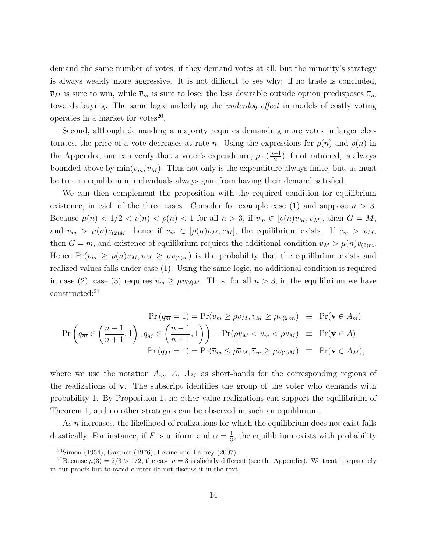demand the same number of votes, if they demand votes at all, but the minority's strategy is always weakly more aggressive. It is not difficult to see why: if no trade is concluded,  $\overline{v}_M$  is sure to win, while  $\overline{v}_m$  is sure to lose; the less desirable outside option predisposes  $\overline{v}_m$ towards buying. The same logic underlying the underdog effect in models of costly voting operates in a market for votes $^{20}$ .

Second, although demanding a majority requires demanding more votes in larger electorates, the price of a vote decreases at rate n. Using the expressions for  $\rho(n)$  and  $\overline{\rho}(n)$  in the Appendix, one can verify that a voter's expenditure,  $p \cdot \left(\frac{n-1}{2}\right)$  $\frac{-1}{2}$ ) if not rationed, is always bounded above by  $\min(\overline{v}_m, \overline{v}_M)$ . Thus not only is the expenditure always finite, but, as must be true in equilibrium, individuals always gain from having their demand satisfied.

We can then complement the proposition with the required condition for equilibrium existence, in each of the three cases. Consider for example case (1) and suppose  $n > 3$ . Because  $\mu(n) < 1/2 < \rho(n) < \bar{\rho}(n) < 1$  for all  $n > 3$ , if  $\bar{v}_m \in [\bar{\rho}(n)\bar{v}_M, \bar{v}_M]$ , then  $G = M$ , and  $\overline{v}_m > \mu(n)v_{(2)M}$  –hence if  $\overline{v}_m \in [\overline{\rho}(n)\overline{v}_M, \overline{v}_M]$ , the equilibrium exists. If  $\overline{v}_m > \overline{v}_M$ , then  $G = m$ , and existence of equilibrium requires the additional condition  $\overline{v}_M > \mu(n)v_{(2)m}$ . Hence  $Pr(\overline{v}_m \geq \overline{\rho}(n)\overline{v}_M, \overline{v}_M \geq \mu v_{(2)m})$  is the probability that the equilibrium exists and realized values falls under case (1). Using the same logic, no additional condition is required in case (2); case (3) requires  $\overline{v}_m \ge \mu v_{(2)M}$ . Thus, for all  $n > 3$ , in the equilibrium we have constructed:<sup>21</sup>

$$
\Pr(q_{\overline{m}} = 1) = \Pr(\overline{v}_m \ge \overline{\rho v}_M, \overline{v}_M \ge \mu v_{(2)m}) \equiv \Pr(\mathbf{v} \in A_m)
$$
  

$$
\Pr\left(q_{\overline{m}} \in \left(\frac{n-1}{n+1}, 1\right), q_{\overline{M}} \in \left(\frac{n-1}{n+1}, 1\right)\right) = \Pr(\underline{\rho v}_M < \overline{v}_m < \overline{\rho v}_M) \equiv \Pr(\mathbf{v} \in A)
$$
  

$$
\Pr(q_{\overline{M}} = 1) = \Pr(\overline{v}_m \le \underline{\rho v}_M, \overline{v}_m \ge \mu v_{(2)M}) \equiv \Pr(\mathbf{v} \in A_M),
$$

where we use the notation  $A_m$ ,  $A$ ,  $A_M$  as short-hands for the corresponding regions of the realizations of v. The subscript identifies the group of the voter who demands with probability 1. By Proposition 1, no other value realizations can support the equilibrium of Theorem 1, and no other strategies can be observed in such an equilibrium.

As n increases, the likelihood of realizations for which the equilibrium does not exist falls drastically. For instance, if F is uniform and  $\alpha = \frac{1}{3}$  $\frac{1}{3}$ , the equilibrium exists with probability

 $20$ Simon (1954), Gartner (1976); Levine and Palfrey (2007)

<sup>&</sup>lt;sup>21</sup>Because  $\mu(3) = 2/3 > 1/2$ , the case  $n = 3$  is slightly different (see the Appendix). We treat it separately in our proofs but to avoid clutter do not discuss it in the text.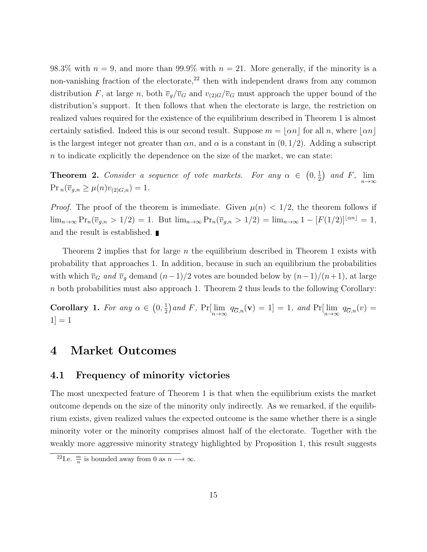98.3% with  $n = 9$ , and more than 99.9% with  $n = 21$ . More generally, if the minority is a non-vanishing fraction of the electorate,<sup>22</sup> then with independent draws from any common distribution F, at large n, both  $\overline{v}_q/\overline{v}_G$  and  $v_{(2)G}/\overline{v}_G$  must approach the upper bound of the distribution's support. It then follows that when the electorate is large, the restriction on realized values required for the existence of the equilibrium described in Theorem 1 is almost certainly satisfied. Indeed this is our second result. Suppose  $m = |\alpha n|$  for all n, where  $|\alpha n|$ is the largest integer not greater than  $\alpha n$ , and  $\alpha$  is a constant in  $(0, 1/2)$ . Adding a subscript n to indicate explicitly the dependence on the size of the market, we can state:

**Theorem 2.** Consider a sequence of vote markets. For any  $\alpha \in (0, \frac{1}{2})$  $(\frac{1}{2})$  and F,  $\lim_{n\to\infty}$  $Pr_n(\overline{v}_{g,n} \geq \mu(n)v_{(2)G,n}) = 1.$ 

*Proof.* The proof of the theorem is immediate. Given  $\mu(n) < 1/2$ , the theorem follows if  $\lim_{n\to\infty} \Pr_n(\overline{v}_{g,n} > 1/2) = 1$ . But  $\lim_{n\to\infty} \Pr_n(\overline{v}_{g,n} > 1/2) = \lim_{n\to\infty} 1 - [F(1/2)]^{\lfloor \alpha n \rfloor} = 1$ , and the result is established.

Theorem 2 implies that for large  $n$  the equilibrium described in Theorem 1 exists with probability that approaches 1. In addition, because in such an equilibrium the probabilities with which  $\overline{v}_G$  and  $\overline{v}_g$  demand  $(n-1)/2$  votes are bounded below by  $(n-1)/(n+1)$ , at large n both probabilities must also approach 1. Theorem 2 thus leads to the following Corollary:

Corollary 1. For any  $\alpha \in (0, \frac{1}{2})$  $\frac{1}{2}$ ) and F, Pr[ $\lim_{n\to\infty} q_{\overline{G},n}(\mathbf{v}) = 1$ ] = 1, and Pr[ $\lim_{n\to\infty} q_{\overline{G},n}(v)$  =  $|1| = 1$ 

### 4 Market Outcomes

### 4.1 Frequency of minority victories

The most unexpected feature of Theorem 1 is that when the equilibrium exists the market outcome depends on the size of the minority only indirectly. As we remarked, if the equilibrium exists, given realized values the expected outcome is the same whether there is a single minority voter or the minority comprises almost half of the electorate. Together with the weakly more aggressive minority strategy highlighted by Proposition 1, this result suggests

<sup>&</sup>lt;sup>22</sup>I.e.  $\frac{m}{n}$  is bounded away from 0 as  $n \longrightarrow \infty$ .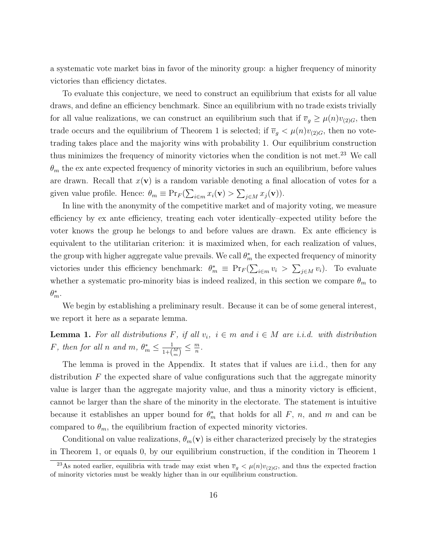a systematic vote market bias in favor of the minority group: a higher frequency of minority victories than efficiency dictates.

To evaluate this conjecture, we need to construct an equilibrium that exists for all value draws, and define an efficiency benchmark. Since an equilibrium with no trade exists trivially for all value realizations, we can construct an equilibrium such that if  $\overline{v}_g \ge \mu(n)v_{(2)G}$ , then trade occurs and the equilibrium of Theorem 1 is selected; if  $\overline{v}_g < \mu(n)v_{(2)G}$ , then no votetrading takes place and the majority wins with probability 1. Our equilibrium construction thus minimizes the frequency of minority victories when the condition is not met.<sup>23</sup> We call  $\theta_m$  the ex ante expected frequency of minority victories in such an equilibrium, before values are drawn. Recall that  $x(\mathbf{v})$  is a random variable denoting a final allocation of votes for a given value profile. Hence:  $\theta_m \equiv \Pr_F(\sum_{i \in m} x_i(\mathbf{v}) > \sum_{j \in M} x_j(\mathbf{v}))$ .

In line with the anonymity of the competitive market and of majority voting, we measure efficiency by ex ante efficiency, treating each voter identically–expected utility before the voter knows the group he belongs to and before values are drawn. Ex ante efficiency is equivalent to the utilitarian criterion: it is maximized when, for each realization of values, the group with higher aggregate value prevails. We call  $\theta_m^*$  the expected frequency of minority victories under this efficiency benchmark:  $\theta_m^* \equiv \Pr_F(\sum_{i \in m} v_i > \sum_{j \in M} v_i)$ . To evaluate whether a systematic pro-minority bias is indeed realized, in this section we compare  $\theta_m$  to  $\theta_m^*$ .

We begin by establishing a preliminary result. Because it can be of some general interest, we report it here as a separate lemma.

**Lemma 1.** For all distributions F, if all  $v_i$ ,  $i \in m$  and  $i \in M$  are i.i.d. with distribution F, then for all n and  $m, \theta_m^* \leq \frac{1}{1+\theta_m}$  $\frac{1}{1+\binom{M}{m}} \leq \frac{m}{n}$  $\frac{m}{n}$ .

The lemma is proved in the Appendix. It states that if values are i.i.d., then for any distribution  $F$  the expected share of value configurations such that the aggregate minority value is larger than the aggregate majority value, and thus a minority victory is efficient, cannot be larger than the share of the minority in the electorate. The statement is intuitive because it establishes an upper bound for  $\theta_m^*$  that holds for all F, n, and m and can be compared to  $\theta_m$ , the equilibrium fraction of expected minority victories.

Conditional on value realizations,  $\theta_m(\mathbf{v})$  is either characterized precisely by the strategies in Theorem 1, or equals 0, by our equilibrium construction, if the condition in Theorem 1

<sup>&</sup>lt;sup>23</sup>As noted earlier, equilibria with trade may exist when  $\overline{v}_g < \mu(n)v_{(2)G}$ , and thus the expected fraction of minority victories must be weakly higher than in our equilibrium construction.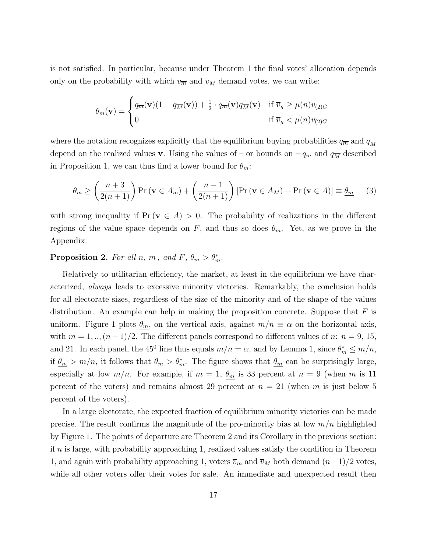is not satisfied. In particular, because under Theorem 1 the final votes' allocation depends only on the probability with which  $v_{\overline{m}}$  and  $v_{\overline{M}}$  demand votes, we can write:

$$
\theta_m(\mathbf{v}) = \begin{cases} q_{\overline{m}}(\mathbf{v})(1 - q_{\overline{M}}(\mathbf{v})) + \frac{1}{2} \cdot q_{\overline{m}}(\mathbf{v}) q_{\overline{M}}(\mathbf{v}) & \text{if } \overline{v}_g \ge \mu(n)v_{(2)G} \\ 0 & \text{if } \overline{v}_g < \mu(n)v_{(2)G} \end{cases}
$$

where the notation recognizes explicitly that the equilibrium buying probabilities  $q_{\overline{m}}$  and  $q_{\overline{M}}$ depend on the realized values **v**. Using the values of – or bounds on –  $q_{\overline{m}}$  and  $q_{\overline{M}}$  described in Proposition 1, we can thus find a lower bound for  $\theta_m$ :

$$
\theta_m \ge \left(\frac{n+3}{2(n+1)}\right) \Pr\left(\mathbf{v} \in A_m\right) + \left(\frac{n-1}{2(n+1)}\right) \left[\Pr\left(\mathbf{v} \in A_M\right) + \Pr\left(\mathbf{v} \in A\right)\right] \equiv \underline{\theta_m} \tag{3}
$$

with strong inequality if  $Pr(\mathbf{v} \in A) > 0$ . The probability of realizations in the different regions of the value space depends on F, and thus so does  $\theta_m$ . Yet, as we prove in the Appendix:

### **Proposition 2.** For all n, m, and F,  $\theta_m > \theta_m^*$ .

Relatively to utilitarian efficiency, the market, at least in the equilibrium we have characterized, always leads to excessive minority victories. Remarkably, the conclusion holds for all electorate sizes, regardless of the size of the minority and of the shape of the values distribution. An example can help in making the proposition concrete. Suppose that  $F$  is uniform. Figure 1 plots  $\theta_m$ , on the vertical axis, against  $m/n \equiv \alpha$  on the horizontal axis, with  $m = 1, ..., (n-1)/2$ . The different panels correspond to different values of n:  $n = 9, 15$ , and 21. In each panel, the 45<sup>0</sup> line thus equals  $m/n = \alpha$ , and by Lemma 1, since  $\theta_m^* \leq m/n$ , if  $\theta_m > m/n$ , it follows that  $\theta_m > \theta_m^*$ . The figure shows that  $\theta_m$  can be surprisingly large, especially at low  $m/n$ . For example, if  $m = 1$ ,  $\theta_m$  is 33 percent at  $n = 9$  (when m is 11 percent of the voters) and remains almost 29 percent at  $n = 21$  (when m is just below 5 percent of the voters).

In a large electorate, the expected fraction of equilibrium minority victories can be made precise. The result confirms the magnitude of the pro-minority bias at low  $m/n$  highlighted by Figure 1. The points of departure are Theorem 2 and its Corollary in the previous section: if  $n$  is large, with probability approaching 1, realized values satisfy the condition in Theorem 1, and again with probability approaching 1, voters  $\overline{v}_m$  and  $\overline{v}_M$  both demand  $(n-1)/2$  votes, while all other voters offer their votes for sale. An immediate and unexpected result then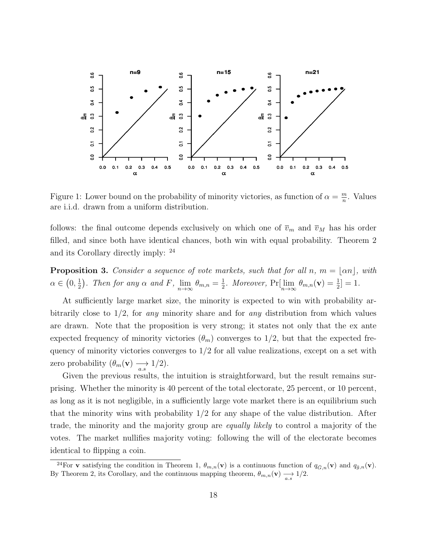

Figure 1: Lower bound on the probability of minority victories, as function of  $\alpha = \frac{m}{n}$  $\frac{m}{n}$ . Values are i.i.d. drawn from a uniform distribution.

follows: the final outcome depends exclusively on which one of  $\overline{v}_m$  and  $\overline{v}_M$  has his order filled, and since both have identical chances, both win with equal probability. Theorem 2 and its Corollary directly imply: <sup>24</sup>

**Proposition 3.** Consider a sequence of vote markets, such that for all n,  $m = \lfloor \alpha n \rfloor$ , with  $\alpha \in (0, \frac{1}{2})$  $\frac{1}{2}$ ). Then for any  $\alpha$  and F,  $\lim_{n\to\infty} \theta_{m,n} = \frac{1}{2}$  $\frac{1}{2}$ . Moreover, Pr $[\lim_{n\to\infty} \theta_{m,n}(\mathbf{v}) = \frac{1}{2}] = 1$ .

At sufficiently large market size, the minority is expected to win with probability arbitrarily close to  $1/2$ , for any minority share and for any distribution from which values are drawn. Note that the proposition is very strong; it states not only that the ex ante expected frequency of minority victories  $(\theta_m)$  converges to 1/2, but that the expected frequency of minority victories converges to  $1/2$  for all value realizations, except on a set with zero probability  $(\theta_m(\mathbf{v}) \longrightarrow 1/2)$ .

Given the previous results, the intuition is straightforward, but the result remains surprising. Whether the minority is 40 percent of the total electorate, 25 percent, or 10 percent, as long as it is not negligible, in a sufficiently large vote market there is an equilibrium such that the minority wins with probability  $1/2$  for any shape of the value distribution. After trade, the minority and the majority group are equally likely to control a majority of the votes. The market nullifies majority voting: following the will of the electorate becomes identical to flipping a coin.

<sup>&</sup>lt;sup>24</sup>For **v** satisfying the condition in Theorem 1,  $\theta_{m,n}(\mathbf{v})$  is a continuous function of  $q_{\bar{G},n}(\mathbf{v})$  and  $q_{\bar{g},n}(\mathbf{v})$ . By Theorem 2, its Corollary, and the continuous mapping theorem,  $\theta_{m,n}(\mathbf{v}) \longrightarrow 1/2$ .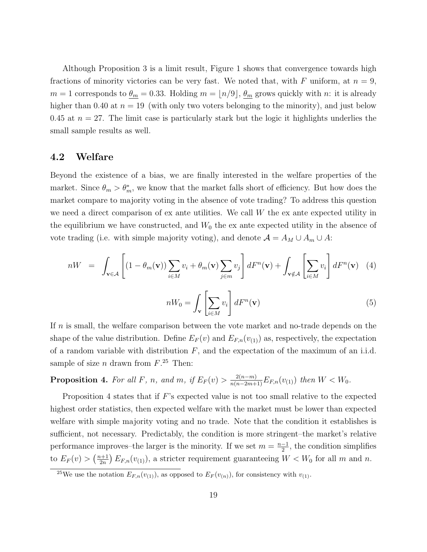Although Proposition 3 is a limit result, Figure 1 shows that convergence towards high fractions of minority victories can be very fast. We noted that, with F uniform, at  $n = 9$ ,  $m = 1$  corresponds to  $\theta_m = 0.33$ . Holding  $m = \lfloor n/9 \rfloor$ ,  $\theta_m$  grows quickly with n: it is already higher than 0.40 at  $n = 19$  (with only two voters belonging to the minority), and just below 0.45 at  $n = 27$ . The limit case is particularly stark but the logic it highlights underlies the small sample results as well.

#### 4.2 Welfare

Beyond the existence of a bias, we are finally interested in the welfare properties of the market. Since  $\theta_m > \theta_m^*$ , we know that the market falls short of efficiency. But how does the market compare to majority voting in the absence of vote trading? To address this question we need a direct comparison of  $\alpha$  ante utilities. We call W the  $\alpha$  ante expected utility in the equilibrium we have constructed, and  $W_0$  the ex ante expected utility in the absence of vote trading (i.e. with simple majority voting), and denote  $\mathcal{A} = A_M \cup A_m \cup A$ :

$$
nW = \int_{\mathbf{v} \in \mathcal{A}} \left[ (1 - \theta_m(\mathbf{v})) \sum_{i \in M} v_i + \theta_m(\mathbf{v}) \sum_{j \in m} v_j \right] dF^n(\mathbf{v}) + \int_{\mathbf{v} \notin \mathcal{A}} \left[ \sum_{i \in M} v_i \right] dF^n(\mathbf{v}) \quad (4)
$$

$$
nW_0 = \int_{\mathbf{v}} \left[ \sum_{i \in M} v_i \right] dF^n(\mathbf{v}) \quad (5)
$$

If  $n$  is small, the welfare comparison between the vote market and no-trade depends on the shape of the value distribution. Define  $E_F(v)$  and  $E_{F,n}(v_{(1)})$  as, respectively, the expectation of a random variable with distribution  $F$ , and the expectation of the maximum of an i.i.d. sample of size *n* drawn from  $F^{25}$  Then:

**Proposition 4.** For all F, n, and m, if  $E_F(v) > \frac{2(n-m)}{n(n-2m+1)} E_{F,n}(v_{(1)})$  then  $W < W_0$ .

Proposition 4 states that if  $F$ 's expected value is not too small relative to the expected highest order statistics, then expected welfare with the market must be lower than expected welfare with simple majority voting and no trade. Note that the condition it establishes is sufficient, not necessary. Predictably, the condition is more stringent–the market's relative performance improves–the larger is the minority. If we set  $m = \frac{n-1}{2}$  $\frac{-1}{2}$ , the condition simplifies to  $E_F(v) > \left(\frac{n+1}{2n}\right)$  $\frac{2n+1}{2n} E_{F,n}(v_{(1)})$ , a stricter requirement guaranteeing  $W < W_0$  for all m and n.

<sup>&</sup>lt;sup>25</sup>We use the notation  $E_{F,n}(v_{(1)})$ , as opposed to  $E_F(v_{(n)})$ , for consistency with  $v_{(1)}$ .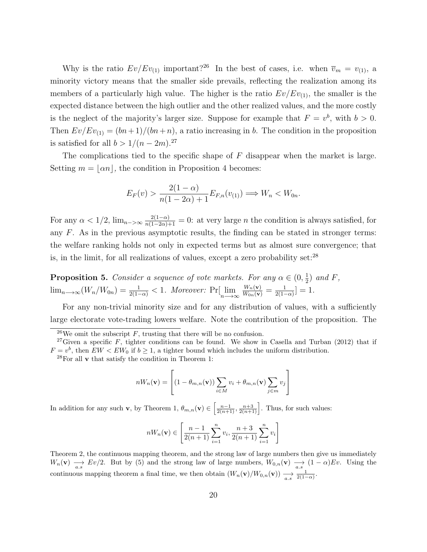Why is the ratio  $Ev/Ev_{(1)}$  important?<sup>26</sup> In the best of cases, i.e. when  $\overline{v}_m = v_{(1)}$ , a minority victory means that the smaller side prevails, reflecting the realization among its members of a particularly high value. The higher is the ratio  $Ev/Ev_{(1)}$ , the smaller is the expected distance between the high outlier and the other realized values, and the more costly is the neglect of the majority's larger size. Suppose for example that  $F = v^b$ , with  $b > 0$ . Then  $Ev/Ev_{(1)} = (bn+1)/(bn+n)$ , a ratio increasing in b. The condition in the proposition is satisfied for all  $b > 1/(n-2m)^{27}$ 

The complications tied to the specific shape of  $F$  disappear when the market is large. Setting  $m = |\alpha n|$ , the condition in Proposition 4 becomes:

$$
E_F(v) > \frac{2(1-\alpha)}{n(1-2\alpha)+1} E_{F,n}(v_{(1)}) \Longrightarrow W_n < W_{0n}.
$$

For any  $\alpha < 1/2$ ,  $\lim_{n \to \infty} \frac{2(1-\alpha)}{n(1-2\alpha)+1} = 0$ : at very large *n* the condition is always satisfied, for any  $F$ . As in the previous asymptotic results, the finding can be stated in stronger terms: the welfare ranking holds not only in expected terms but as almost sure convergence; that is, in the limit, for all realizations of values, except a zero probability set: $^{28}$ 

**Proposition 5.** Consider a sequence of vote markets. For any  $\alpha \in (0, \frac{1}{2})$  $(\frac{1}{2})$  and F,  $\lim_{n\longrightarrow\infty} (W_n/W_{0n}) = \frac{1}{2(1-\alpha)} < 1.$  Moreover:  $\Pr[\lim_{n\longrightarrow\infty} \frac{W_n(\mathbf{v})}{W_{0n}(\mathbf{v})} = \frac{1}{2(1-\alpha)}$  $\frac{1}{2(1-\alpha)}]=1.$ 

For any non-trivial minority size and for any distribution of values, with a sufficiently large electorate vote-trading lowers welfare. Note the contribution of the proposition. The

$$
nW_n(\mathbf{v}) = \left[ (1 - \theta_{m,n}(\mathbf{v})) \sum_{i \in M} v_i + \theta_{m,n}(\mathbf{v}) \sum_{j \in m} v_j \right]
$$

In addition for any such **v**, by Theorem 1,  $\theta_{m,n}(\mathbf{v}) \in \left[\frac{n-1}{2(n+1)}, \frac{n+3}{2(n+1)}\right]$ . Thus, for such values:

$$
nW_n(\mathbf{v}) \in \left[\frac{n-1}{2(n+1)}\sum_{i=1}^n v_i, \frac{n+3}{2(n+1)}\sum_{i=1}^n v_i\right]
$$

Theorem 2, the continuous mapping theorem, and the strong law of large numbers then give us immediately  $W_n(\mathbf{v}) \longrightarrow Ev/2$ . But by (5) and the strong law of large numbers,  $W_{0,n}(\mathbf{v}) \longrightarrow (1-\alpha)Ev$ . Using the continuous mapping theorem a final time, we then obtain  $(W_n(\mathbf{v})/W_{0,n}(\mathbf{v})) \longrightarrow \frac{1}{a.s} \frac{1}{2(1-\alpha)}$ .

<sup>&</sup>lt;sup>26</sup>We omit the subscript  $F$ , trusting that there will be no confusion.

<sup>&</sup>lt;sup>27</sup>Given a specific F, tighter conditions can be found. We show in Casella and Turban (2012) that if  $F = v^b$ , then  $EW < EW_0$  if  $b \ge 1$ , a tighter bound which includes the uniform distribution.

 $28$ For all v that satisfy the condition in Theorem 1: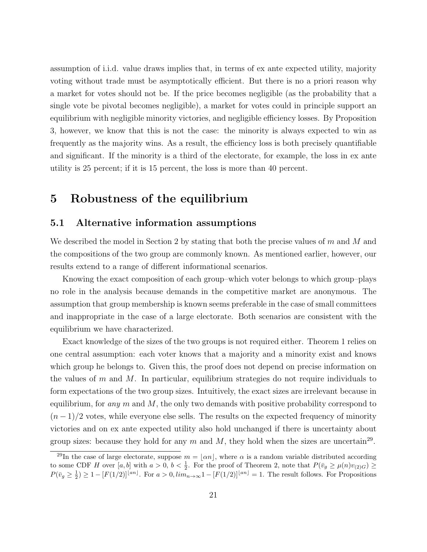assumption of i.i.d. value draws implies that, in terms of ex ante expected utility, majority voting without trade must be asymptotically efficient. But there is no a priori reason why a market for votes should not be. If the price becomes negligible (as the probability that a single vote be pivotal becomes negligible), a market for votes could in principle support an equilibrium with negligible minority victories, and negligible efficiency losses. By Proposition 3, however, we know that this is not the case: the minority is always expected to win as frequently as the majority wins. As a result, the efficiency loss is both precisely quantifiable and significant. If the minority is a third of the electorate, for example, the loss in ex ante utility is 25 percent; if it is 15 percent, the loss is more than 40 percent.

### 5 Robustness of the equilibrium

#### 5.1 Alternative information assumptions

We described the model in Section 2 by stating that both the precise values of  $m$  and  $M$  and the compositions of the two group are commonly known. As mentioned earlier, however, our results extend to a range of different informational scenarios.

Knowing the exact composition of each group–which voter belongs to which group–plays no role in the analysis because demands in the competitive market are anonymous. The assumption that group membership is known seems preferable in the case of small committees and inappropriate in the case of a large electorate. Both scenarios are consistent with the equilibrium we have characterized.

Exact knowledge of the sizes of the two groups is not required either. Theorem 1 relies on one central assumption: each voter knows that a majority and a minority exist and knows which group he belongs to. Given this, the proof does not depend on precise information on the values of m and M. In particular, equilibrium strategies do not require individuals to form expectations of the two group sizes. Intuitively, the exact sizes are irrelevant because in equilibrium, for any  $m$  and  $M$ , the only two demands with positive probability correspond to  $(n-1)/2$  votes, while everyone else sells. The results on the expected frequency of minority victories and on ex ante expected utility also hold unchanged if there is uncertainty about group sizes: because they hold for any  $m$  and  $M$ , they hold when the sizes are uncertain<sup>29</sup>.

<sup>&</sup>lt;sup>29</sup>In the case of large electorate, suppose  $m = |\alpha n|$ , where  $\alpha$  is a random variable distributed according to some CDF H over  $[a, b]$  with  $a > 0$ ,  $b < \frac{1}{2}$ . For the proof of Theorem 2, note that  $P(\bar{v}_g \ge \mu(n)v_{(2)G}) \ge$  $P(\bar{v}_g \ge \frac{1}{2}) \ge 1 - [F(1/2)]^{\lfloor an \rfloor}$ . For  $a > 0$ ,  $\lim_{n \to \infty} 1 - [F(1/2)]^{\lfloor an \rfloor} = 1$ . The result follows. For Propositions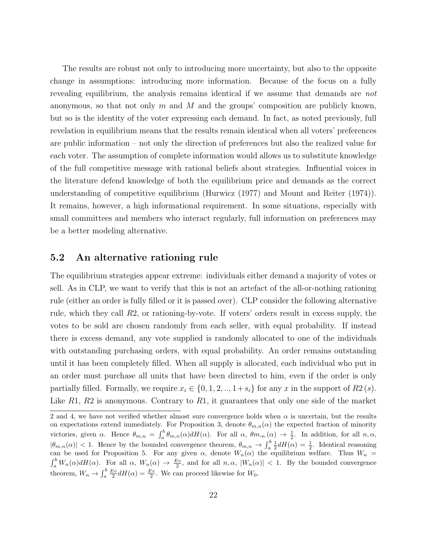The results are robust not only to introducing more uncertainty, but also to the opposite change in assumptions: introducing more information. Because of the focus on a fully revealing equilibrium, the analysis remains identical if we assume that demands are not anonymous, so that not only m and M and the groups' composition are publicly known, but so is the identity of the voter expressing each demand. In fact, as noted previously, full revelation in equilibrium means that the results remain identical when all voters' preferences are public information – not only the direction of preferences but also the realized value for each voter. The assumption of complete information would allows us to substitute knowledge of the full competitive message with rational beliefs about strategies. Influential voices in the literature defend knowledge of both the equilibrium price and demands as the correct understanding of competitive equilibrium (Hurwicz (1977) and Mount and Reiter (1974)). It remains, however, a high informational requirement. In some situations, especially with small committees and members who interact regularly, full information on preferences may be a better modeling alternative.

### 5.2 An alternative rationing rule

The equilibrium strategies appear extreme: individuals either demand a majority of votes or sell. As in CLP, we want to verify that this is not an artefact of the all-or-nothing rationing rule (either an order is fully filled or it is passed over). CLP consider the following alternative rule, which they call R2, or rationing-by-vote. If voters' orders result in excess supply, the votes to be sold are chosen randomly from each seller, with equal probability. If instead there is excess demand, any vote supplied is randomly allocated to one of the individuals with outstanding purchasing orders, with equal probability. An order remains outstanding until it has been completely filled. When all supply is allocated, each individual who put in an order must purchase all units that have been directed to him, even if the order is only partially filled. Formally, we require  $x_i \in \{0, 1, 2, \ldots, 1+s_i\}$  for any x in the support of  $R_2(s)$ . Like  $R_1, R_2$  is anonymous. Contrary to  $R_1$ , it guarantees that only one side of the market

<sup>2</sup> and 4, we have not verified whether almost sure convergence holds when  $\alpha$  is uncertain, but the results on expectations extend immediately. For Proposition 3, denote  $\theta_{m,n}(\alpha)$  the expected fraction of minority victories, given  $\alpha$ . Hence  $\theta_{m,n} = \int_a^b \theta_{m,n}(\alpha) dH(\alpha)$ . For all  $\alpha$ ,  $\theta_{m,n}(\alpha) \to \frac{1}{2}$ . In addition, for all  $n, \alpha$ ,  $|\theta_{m,n}(\alpha)| < 1$ . Hence by the bounded convergence theorem,  $\theta_{m,n} \to \int_a^b \frac{1}{2} dH(\alpha) = \frac{1}{2}$ . Identical reasoning can be used for Proposition 5. For any given  $\alpha$ , denote  $W_n(\alpha)$  the equilibrium welfare. Thus  $W_n$  =  $\int_a^b W_n(\alpha) dH(\alpha)$ . For all  $\alpha$ ,  $W_n(\alpha) \to \frac{Ev}{2}$ , and for all  $n, \alpha$ ,  $|W_n(\alpha)| < 1$ . By the bounded convergence theorem,  $W_n \to \int_a^b \frac{Ev}{2} dH(\alpha) = \frac{Ev}{2}$ . We can proceed likewise for  $W_0$ .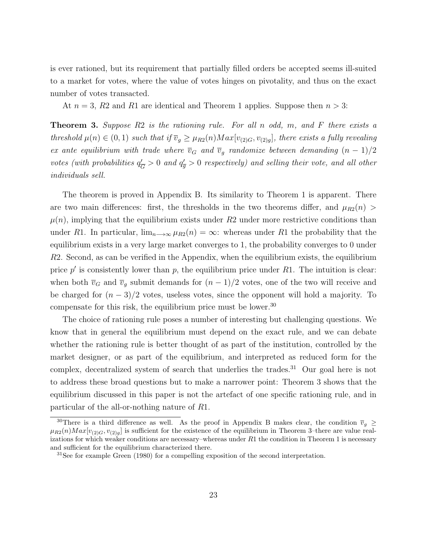is ever rationed, but its requirement that partially filled orders be accepted seems ill-suited to a market for votes, where the value of votes hinges on pivotality, and thus on the exact number of votes transacted.

At  $n = 3$ , R2 and R1 are identical and Theorem 1 applies. Suppose then  $n > 3$ :

**Theorem 3.** Suppose  $R2$  is the rationing rule. For all n odd, m, and F there exists a threshold  $\mu(n) \in (0,1)$  such that if  $\overline{v}_g \geq \mu_{R2}(n) Max[v_{(2)G}, v_{(2)g}]$ , there exists a fully revealing ex ante equilibrium with trade where  $\overline{v}_G$  and  $\overline{v}_g$  randomize between demanding  $(n - 1)/2$ votes (with probabilities  $q_{\bar{c}}$  $\frac{\partial G}{\partial G} > 0$  and  $q'_{\overline{g}} > 0$  respectively) and selling their vote, and all other individuals sell.

The theorem is proved in Appendix B. Its similarity to Theorem 1 is apparent. There are two main differences: first, the thresholds in the two theorems differ, and  $\mu_{R2}(n)$  $\mu(n)$ , implying that the equilibrium exists under R2 under more restrictive conditions than under R1. In particular,  $\lim_{n\to\infty} \mu_{R2}(n) = \infty$ : whereas under R1 the probability that the equilibrium exists in a very large market converges to 1, the probability converges to 0 under R2. Second, as can be verified in the Appendix, when the equilibrium exists, the equilibrium price  $p'$  is consistently lower than  $p$ , the equilibrium price under  $R1$ . The intuition is clear: when both  $\overline{v}_G$  and  $\overline{v}_g$  submit demands for  $(n-1)/2$  votes, one of the two will receive and be charged for  $(n-3)/2$  votes, useless votes, since the opponent will hold a majority. To compensate for this risk, the equilibrium price must be lower.<sup>30</sup>

The choice of rationing rule poses a number of interesting but challenging questions. We know that in general the equilibrium must depend on the exact rule, and we can debate whether the rationing rule is better thought of as part of the institution, controlled by the market designer, or as part of the equilibrium, and interpreted as reduced form for the complex, decentralized system of search that underlies the trades.<sup>31</sup> Our goal here is not to address these broad questions but to make a narrower point: Theorem 3 shows that the equilibrium discussed in this paper is not the artefact of one specific rationing rule, and in particular of the all-or-nothing nature of R1.

<sup>&</sup>lt;sup>30</sup>There is a third difference as well. As the proof in Appendix B makes clear, the condition  $\overline{v}_g \ge$  $\mu_{R2}(n)Max[v_{(2)G}, v_{(2)g}]$  is sufficient for the existence of the equilibrium in Theorem 3–there are value realizations for which weaker conditions are necessary–whereas under  $R1$  the condition in Theorem 1 is necessary and sufficient for the equilibrium characterized there.

<sup>&</sup>lt;sup>31</sup>See for example Green (1980) for a compelling exposition of the second interpretation.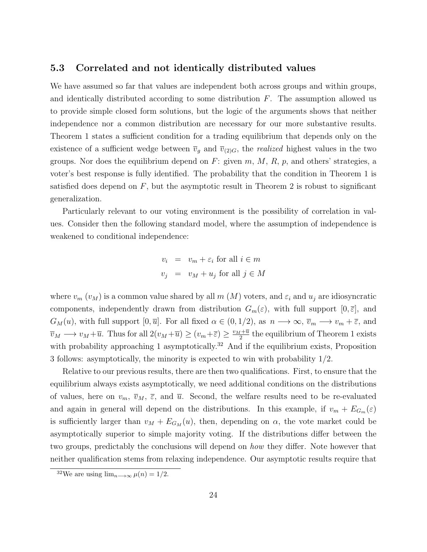#### 5.3 Correlated and not identically distributed values

We have assumed so far that values are independent both across groups and within groups, and identically distributed according to some distribution  $F$ . The assumption allowed us to provide simple closed form solutions, but the logic of the arguments shows that neither independence nor a common distribution are necessary for our more substantive results. Theorem 1 states a sufficient condition for a trading equilibrium that depends only on the existence of a sufficient wedge between  $\overline{v}_g$  and  $\overline{v}_{(2)G}$ , the *realized* highest values in the two groups. Nor does the equilibrium depend on F: given  $m, M, R, p$ , and others' strategies, a voter's best response is fully identified. The probability that the condition in Theorem 1 is satisfied does depend on  $F$ , but the asymptotic result in Theorem 2 is robust to significant generalization.

Particularly relevant to our voting environment is the possibility of correlation in values. Consider then the following standard model, where the assumption of independence is weakened to conditional independence:

$$
v_i = v_m + \varepsilon_i \text{ for all } i \in m
$$
  

$$
v_j = v_M + u_j \text{ for all } j \in M
$$

where  $v_m(v_M)$  is a common value shared by all m  $(M)$  voters, and  $\varepsilon_i$  and  $u_j$  are idiosyncratic components, independently drawn from distribution  $G_m(\varepsilon)$ , with full support  $[0, \overline{\varepsilon}]$ , and  $G_M(u)$ , with full support  $[0, \overline{u}]$ . For all fixed  $\alpha \in (0, 1/2)$ , as  $n \longrightarrow \infty$ ,  $\overline{v}_m \longrightarrow v_m + \overline{\varepsilon}$ , and  $\overline{v}_M \longrightarrow v_M + \overline{u}$ . Thus for all  $2(v_M + \overline{u}) \ge (v_m + \overline{\varepsilon}) \ge \frac{v_M + \overline{u}}{2}$  $\frac{t^{\pm \overline{u}}}{2}$  the equilibrium of Theorem 1 exists with probability approaching 1 asymptotically.<sup>32</sup> And if the equilibrium exists, Proposition 3 follows: asymptotically, the minority is expected to win with probability 1/2.

Relative to our previous results, there are then two qualifications. First, to ensure that the equilibrium always exists asymptotically, we need additional conditions on the distributions of values, here on  $v_m$ ,  $\overline{v}_M$ ,  $\overline{\varepsilon}$ , and  $\overline{u}$ . Second, the welfare results need to be re-evaluated and again in general will depend on the distributions. In this example, if  $v_m + E_{G_m}(\varepsilon)$ is sufficiently larger than  $v_M + E_{G_M}(u)$ , then, depending on  $\alpha$ , the vote market could be asymptotically superior to simple majority voting. If the distributions differ between the two groups, predictably the conclusions will depend on *how* they differ. Note however that neither qualification stems from relaxing independence. Our asymptotic results require that

<sup>&</sup>lt;sup>32</sup>We are using  $\lim_{n\to\infty}\mu(n)=1/2$ .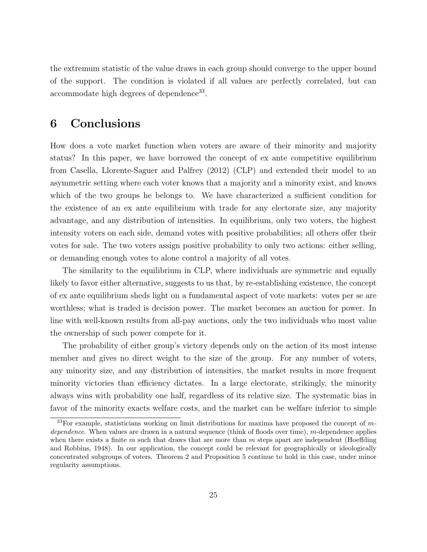the extremum statistic of the value draws in each group should converge to the upper bound of the support. The condition is violated if all values are perfectly correlated, but can accommodate high degrees of dependence<sup>33</sup>.

# 6 Conclusions

How does a vote market function when voters are aware of their minority and majority status? In this paper, we have borrowed the concept of ex ante competitive equilibrium from Casella, Llorente-Saguer and Palfrey (2012) (CLP) and extended their model to an asymmetric setting where each voter knows that a majority and a minority exist, and knows which of the two groups he belongs to. We have characterized a sufficient condition for the existence of an ex ante equilibrium with trade for any electorate size, any majority advantage, and any distribution of intensities. In equilibrium, only two voters, the highest intensity voters on each side, demand votes with positive probabilities; all others offer their votes for sale. The two voters assign positive probability to only two actions: either selling, or demanding enough votes to alone control a majority of all votes.

The similarity to the equilibrium in CLP, where individuals are symmetric and equally likely to favor either alternative, suggests to us that, by re-establishing existence, the concept of ex ante equilibrium sheds light on a fundamental aspect of vote markets: votes per se are worthless; what is traded is decision power. The market becomes an auction for power. In line with well-known results from all-pay auctions, only the two individuals who most value the ownership of such power compete for it.

The probability of either group's victory depends only on the action of its most intense member and gives no direct weight to the size of the group. For any number of voters, any minority size, and any distribution of intensities, the market results in more frequent minority victories than efficiency dictates. In a large electorate, strikingly, the minority always wins with probability one half, regardless of its relative size. The systematic bias in favor of the minority exacts welfare costs, and the market can be welfare inferior to simple

 $33$ For example, statisticians working on limit distributions for maxima have proposed the concept of mdependence. When values are drawn in a natural sequence (think of floods over time), m-dependence applies when there exists a finite  $m$  such that draws that are more than  $m$  steps apart are independent (Hoeffding and Robbins, 1948). In our application, the concept could be relevant for geographically or ideologically concentrated subgroups of voters. Theorem 2 and Proposition 5 continue to hold in this case, under minor regularity assumptions.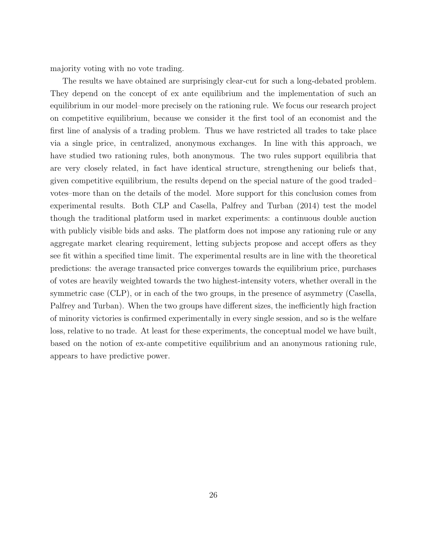majority voting with no vote trading.

The results we have obtained are surprisingly clear-cut for such a long-debated problem. They depend on the concept of ex ante equilibrium and the implementation of such an equilibrium in our model–more precisely on the rationing rule. We focus our research project on competitive equilibrium, because we consider it the first tool of an economist and the first line of analysis of a trading problem. Thus we have restricted all trades to take place via a single price, in centralized, anonymous exchanges. In line with this approach, we have studied two rationing rules, both anonymous. The two rules support equilibria that are very closely related, in fact have identical structure, strengthening our beliefs that, given competitive equilibrium, the results depend on the special nature of the good traded– votes–more than on the details of the model. More support for this conclusion comes from experimental results. Both CLP and Casella, Palfrey and Turban (2014) test the model though the traditional platform used in market experiments: a continuous double auction with publicly visible bids and asks. The platform does not impose any rationing rule or any aggregate market clearing requirement, letting subjects propose and accept offers as they see fit within a specified time limit. The experimental results are in line with the theoretical predictions: the average transacted price converges towards the equilibrium price, purchases of votes are heavily weighted towards the two highest-intensity voters, whether overall in the symmetric case (CLP), or in each of the two groups, in the presence of asymmetry (Casella, Palfrey and Turban). When the two groups have different sizes, the inefficiently high fraction of minority victories is confirmed experimentally in every single session, and so is the welfare loss, relative to no trade. At least for these experiments, the conceptual model we have built, based on the notion of ex-ante competitive equilibrium and an anonymous rationing rule, appears to have predictive power.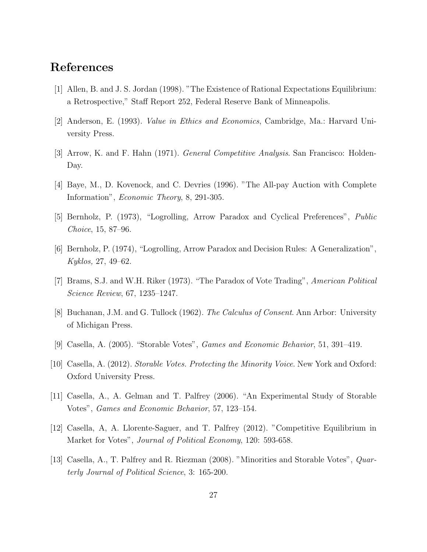# References

- [1] Allen, B. and J. S. Jordan (1998). "The Existence of Rational Expectations Equilibrium: a Retrospective," Staff Report 252, Federal Reserve Bank of Minneapolis.
- [2] Anderson, E. (1993). Value in Ethics and Economics, Cambridge, Ma.: Harvard University Press.
- [3] Arrow, K. and F. Hahn (1971). General Competitive Analysis. San Francisco: Holden-Day.
- [4] Baye, M., D. Kovenock, and C. Devries (1996). "The All-pay Auction with Complete Information", Economic Theory, 8, 291-305.
- [5] Bernholz, P. (1973), "Logrolling, Arrow Paradox and Cyclical Preferences", Public Choice, 15, 87–96.
- [6] Bernholz, P. (1974), "Logrolling, Arrow Paradox and Decision Rules: A Generalization", Kyklos, 27, 49–62.
- [7] Brams, S.J. and W.H. Riker (1973). "The Paradox of Vote Trading", American Political Science Review, 67, 1235–1247.
- [8] Buchanan, J.M. and G. Tullock (1962). The Calculus of Consent. Ann Arbor: University of Michigan Press.
- [9] Casella, A. (2005). "Storable Votes", Games and Economic Behavior, 51, 391–419.
- [10] Casella, A. (2012). Storable Votes. Protecting the Minority Voice. New York and Oxford: Oxford University Press.
- [11] Casella, A., A. Gelman and T. Palfrey (2006). "An Experimental Study of Storable Votes", Games and Economic Behavior, 57, 123–154.
- [12] Casella, A, A. Llorente-Saguer, and T. Palfrey (2012). "Competitive Equilibrium in Market for Votes", *Journal of Political Economy*, 120: 593-658.
- [13] Casella, A., T. Palfrey and R. Riezman (2008). "Minorities and Storable Votes", Quarterly Journal of Political Science, 3: 165-200.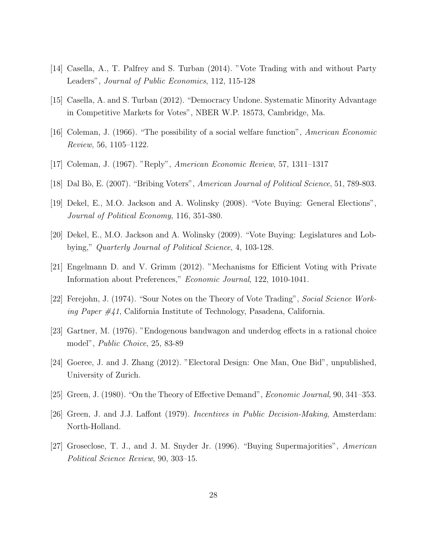- [14] Casella, A., T. Palfrey and S. Turban (2014). "Vote Trading with and without Party Leaders", Journal of Public Economics, 112, 115-128
- [15] Casella, A. and S. Turban (2012). "Democracy Undone. Systematic Minority Advantage in Competitive Markets for Votes", NBER W.P. 18573, Cambridge, Ma.
- [16] Coleman, J. (1966). "The possibility of a social welfare function", American Economic Review, 56, 1105–1122.
- [17] Coleman, J. (1967). "Reply", American Economic Review, 57, 1311–1317
- [18] Dal Bò, E. (2007). "Bribing Voters", American Journal of Political Science, 51, 789-803.
- [19] Dekel, E., M.O. Jackson and A. Wolinsky (2008). "Vote Buying: General Elections", Journal of Political Economy, 116, 351-380.
- [20] Dekel, E., M.O. Jackson and A. Wolinsky (2009). "Vote Buying: Legislatures and Lobbying," Quarterly Journal of Political Science, 4, 103-128.
- [21] Engelmann D. and V. Grimm (2012). "Mechanisms for Efficient Voting with Private Information about Preferences," Economic Journal, 122, 1010-1041.
- [22] Ferejohn, J. (1974). "Sour Notes on the Theory of Vote Trading", Social Science Working Paper #41, California Institute of Technology, Pasadena, California.
- [23] Gartner, M. (1976). "Endogenous bandwagon and underdog effects in a rational choice model", Public Choice, 25, 83-89
- [24] Goeree, J. and J. Zhang (2012). "Electoral Design: One Man, One Bid", unpublished, University of Zurich.
- [25] Green, J. (1980). "On the Theory of Effective Demand", Economic Journal, 90, 341–353.
- [26] Green, J. and J.J. Laffont (1979). Incentives in Public Decision-Making, Amsterdam: North-Holland.
- [27] Groseclose, T. J., and J. M. Snyder Jr. (1996). "Buying Supermajorities", American Political Science Review, 90, 303–15.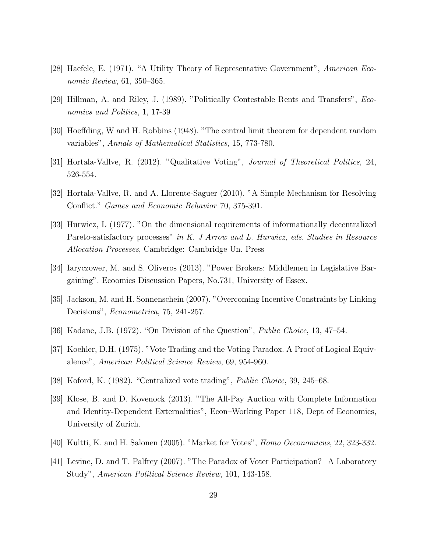- [28] Haefele, E. (1971). "A Utility Theory of Representative Government", American Economic Review, 61, 350–365.
- [29] Hillman, A. and Riley, J. (1989). "Politically Contestable Rents and Transfers", Economics and Politics, 1, 17-39
- [30] Hoeffding, W and H. Robbins (1948). "The central limit theorem for dependent random variables", Annals of Mathematical Statistics, 15, 773-780.
- [31] Hortala-Vallve, R. (2012). "Qualitative Voting", Journal of Theoretical Politics, 24, 526-554.
- [32] Hortala-Vallve, R. and A. Llorente-Saguer (2010). "A Simple Mechanism for Resolving Conflict." Games and Economic Behavior 70, 375-391.
- [33] Hurwicz, L (1977). "On the dimensional requirements of informationally decentralized Pareto-satisfactory processes" in K. J Arrow and L. Hurwicz, eds. Studies in Resource Allocation Processes, Cambridge: Cambridge Un. Press
- [34] Iaryczower, M. and S. Oliveros (2013). "Power Brokers: Middlemen in Legislative Bargaining". Ecoomics Discussion Papers, No.731, University of Essex.
- [35] Jackson, M. and H. Sonnenschein (2007). "Overcoming Incentive Constraints by Linking Decisions", *Econometrica*, 75, 241-257.
- [36] Kadane, J.B. (1972). "On Division of the Question", Public Choice, 13, 47–54.
- [37] Koehler, D.H. (1975). "Vote Trading and the Voting Paradox. A Proof of Logical Equivalence", American Political Science Review, 69, 954-960.
- [38] Koford, K. (1982). "Centralized vote trading", Public Choice, 39, 245–68.
- [39] Klose, B. and D. Kovenock (2013). "The All-Pay Auction with Complete Information and Identity-Dependent Externalities", Econ–Working Paper 118, Dept of Economics, University of Zurich.
- [40] Kultti, K. and H. Salonen (2005). "Market for Votes", Homo Oeconomicus, 22, 323-332.
- [41] Levine, D. and T. Palfrey (2007). "The Paradox of Voter Participation? A Laboratory Study", American Political Science Review, 101, 143-158.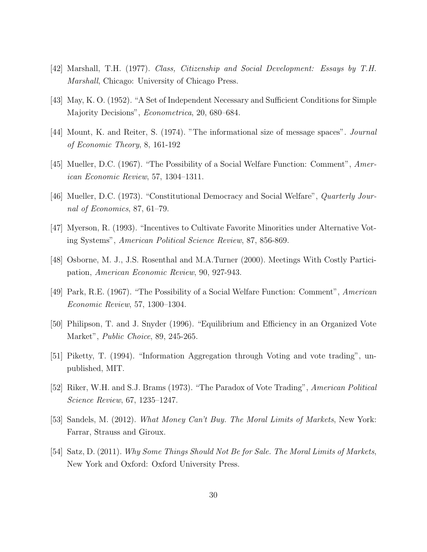- [42] Marshall, T.H. (1977). Class, Citizenship and Social Development: Essays by T.H. Marshall, Chicago: University of Chicago Press.
- [43] May, K. O. (1952). "A Set of Independent Necessary and Sufficient Conditions for Simple Majority Decisions", Econometrica, 20, 680–684.
- [44] Mount, K. and Reiter, S. (1974). "The informational size of message spaces". Journal of Economic Theory, 8, 161-192
- [45] Mueller, D.C. (1967). "The Possibility of a Social Welfare Function: Comment", American Economic Review, 57, 1304–1311.
- [46] Mueller, D.C. (1973). "Constitutional Democracy and Social Welfare", Quarterly Journal of Economics, 87, 61–79.
- [47] Myerson, R. (1993). "Incentives to Cultivate Favorite Minorities under Alternative Voting Systems", American Political Science Review, 87, 856-869.
- [48] Osborne, M. J., J.S. Rosenthal and M.A.Turner (2000). Meetings With Costly Participation, American Economic Review, 90, 927-943.
- [49] Park, R.E. (1967). "The Possibility of a Social Welfare Function: Comment", American Economic Review, 57, 1300–1304.
- [50] Philipson, T. and J. Snyder (1996). "Equilibrium and Efficiency in an Organized Vote Market", Public Choice, 89, 245-265.
- [51] Piketty, T. (1994). "Information Aggregation through Voting and vote trading", unpublished, MIT.
- [52] Riker, W.H. and S.J. Brams (1973). "The Paradox of Vote Trading", American Political Science Review, 67, 1235–1247.
- [53] Sandels, M. (2012). *What Money Can't Buy. The Moral Limits of Markets*, New York: Farrar, Strauss and Giroux.
- [54] Satz, D. (2011). Why Some Things Should Not Be for Sale. The Moral Limits of Markets, New York and Oxford: Oxford University Press.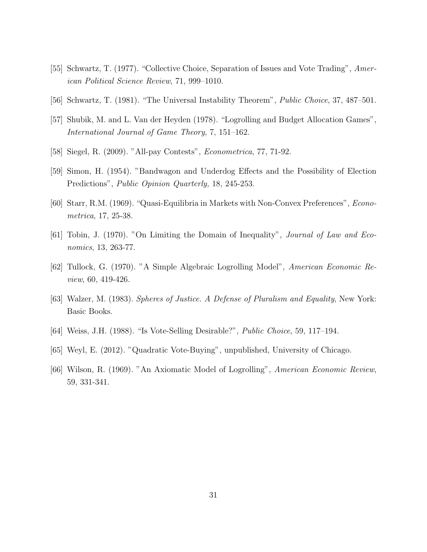- [55] Schwartz, T. (1977). "Collective Choice, Separation of Issues and Vote Trading", American Political Science Review, 71, 999–1010.
- [56] Schwartz, T. (1981). "The Universal Instability Theorem", Public Choice, 37, 487–501.
- [57] Shubik, M. and L. Van der Heyden (1978). "Logrolling and Budget Allocation Games", International Journal of Game Theory, 7, 151–162.
- [58] Siegel, R. (2009). "All-pay Contests", Econometrica, 77, 71-92.
- [59] Simon, H. (1954). "Bandwagon and Underdog Effects and the Possibility of Election Predictions", Public Opinion Quarterly, 18, 245-253.
- [60] Starr, R.M. (1969). "Quasi-Equilibria in Markets with Non-Convex Preferences", Econometrica, 17, 25-38.
- [61] Tobin, J. (1970). "On Limiting the Domain of Inequality", Journal of Law and Economics, 13, 263-77.
- [62] Tullock, G. (1970). "A Simple Algebraic Logrolling Model", American Economic Review, 60, 419-426.
- [63] Walzer, M. (1983). Spheres of Justice. A Defense of Pluralism and Equality, New York: Basic Books.
- [64] Weiss, J.H. (1988). "Is Vote-Selling Desirable?", Public Choice, 59, 117–194.
- [65] Weyl, E. (2012). "Quadratic Vote-Buying", unpublished, University of Chicago.
- [66] Wilson, R. (1969). "An Axiomatic Model of Logrolling", American Economic Review, 59, 331-341.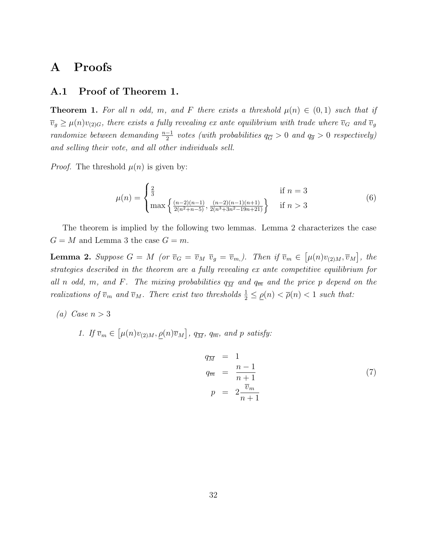### A Proofs

#### A.1 Proof of Theorem 1.

**Theorem 1.** For all n odd, m, and F there exists a threshold  $\mu(n) \in (0,1)$  such that if  $\overline{v}_g \ge \mu(n)v_{(2)G}$ , there exists a fully revealing ex ante equilibrium with trade where  $\overline{v}_G$  and  $\overline{v}_g$ randomize between demanding  $\frac{n-1}{2}$  votes (with probabilities  $q_{\overline{G}} > 0$  and  $q_{\overline{g}} > 0$  respectively) and selling their vote, and all other individuals sell.

*Proof.* The threshold  $\mu(n)$  is given by:

$$
\mu(n) = \begin{cases} \frac{2}{3} & \text{if } n = 3\\ \max\left\{\frac{(n-2)(n-1)}{2(n^2+n-5)}, \frac{(n-2)(n-1)(n+1)}{2(n^3+3n^2-19n+21)}\right\} & \text{if } n > 3 \end{cases}
$$
(6)

The theorem is implied by the following two lemmas. Lemma 2 characterizes the case  $G = M$  and Lemma 3 the case  $G = m$ .

**Lemma 2.** Suppose  $G = M$  (or  $\overline{v}_G = \overline{v}_M \ \overline{v}_g = \overline{v}_m$ ). Then if  $\overline{v}_m \in [\mu(n)v_{(2)M}, \overline{v}_M]$ , the strategies described in the theorem are a fully revealing ex ante competitive equilibrium for all n odd, m, and F. The mixing probabilities  $q_{\overline{M}}$  and  $q_{\overline{m}}$  and the price p depend on the realizations of  $\overline{v}_m$  and  $\overline{v}_M$ . There exist two thresholds  $\frac{1}{2} \leq \underline{\rho}(n) < \overline{\rho}(n) < 1$  such that:

(a) Case  $n > 3$ 

1. If  $\overline{v}_m \in [\mu(n)v_{(2)M}, \underline{\rho}(n)\overline{v}_M]$ ,  $q_{\overline{M}}$ ,  $q_{\overline{m}}$ , and p satisfy:

$$
q_{\overline{M}} = 1
$$
  
\n
$$
q_{\overline{m}} = \frac{n-1}{n+1}
$$
  
\n
$$
p = 2 \frac{\overline{v}_m}{n+1}
$$
\n(7)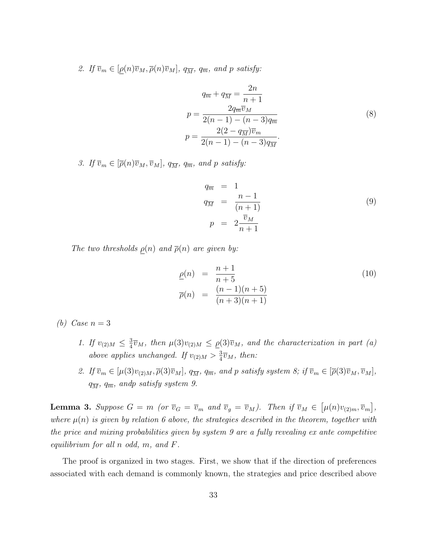2. If  $\overline{v}_m \in [\rho(n)\overline{v}_M, \overline{\rho}(n)\overline{v}_M]$ ,  $q_{\overline{M}}$ ,  $q_{\overline{m}}$ , and p satisfy:

$$
q_{\overline{m}} + q_{\overline{M}} = \frac{2n}{n+1}
$$
  
\n
$$
p = \frac{2q_{\overline{m}}\overline{v}_M}{2(n-1) - (n-3)q_{\overline{m}}}
$$
  
\n
$$
p = \frac{2(2 - q_{\overline{M}})\overline{v}_m}{2(n-1) - (n-3)q_{\overline{M}}}
$$
 (8)

3. If  $\overline{v}_m \in [\overline{\rho}(n)\overline{v}_M, \overline{v}_M]$ ,  $q_{\overline{M}}$ ,  $q_{\overline{m}}$ , and p satisfy:

$$
q_{\overline{m}} = 1
$$
  
\n
$$
q_{\overline{M}} = \frac{n-1}{(n+1)}
$$
  
\n
$$
p = 2 \frac{\overline{v}_M}{n+1}
$$
\n(9)

The two thresholds  $\rho(n)$  and  $\overline{\rho}(n)$  are given by:

$$
\underline{\rho}(n) = \frac{n+1}{n+5} \n\overline{\rho}(n) = \frac{(n-1)(n+5)}{(n+3)(n+1)}
$$
\n(10)

(b) Case  $n=3$ 

- 1. If  $v_{(2)M} \leq \frac{3}{4}$  $\frac{3}{4}\overline{v}_M$ , then  $\mu(3)v_{(2)M} \leq \rho(3)\overline{v}_M$ , and the characterization in part (a) above applies unchanged. If  $v_{(2)M} > \frac{3}{4}$  $\frac{3}{4}\overline{v}_M$ , then:
- 2. If  $\overline{v}_m \in [\mu(3)v_{(2)M}, \overline{\rho}(3)\overline{v}_M]$ ,  $q_{\overline{M}}$ ,  $q_{\overline{m}}$ , and p satisfy system 8; if  $\overline{v}_m \in [\overline{\rho}(3)\overline{v}_M, \overline{v}_M]$ ,  $q_{\overline{M}}$ ,  $q_{\overline{m}}$ , andp satisfy system 9.

**Lemma 3.** Suppose  $G = m$  (or  $\overline{v}_G = \overline{v}_m$  and  $\overline{v}_g = \overline{v}_M$ ). Then if  $\overline{v}_M \in [\mu(n)v_{(2)m}, \overline{v}_m]$ , where  $\mu(n)$  is given by relation 6 above, the strategies described in the theorem, together with the price and mixing probabilities given by system 9 are a fully revealing ex ante competitive equilibrium for all n odd, m, and F.

The proof is organized in two stages. First, we show that if the direction of preferences associated with each demand is commonly known, the strategies and price described above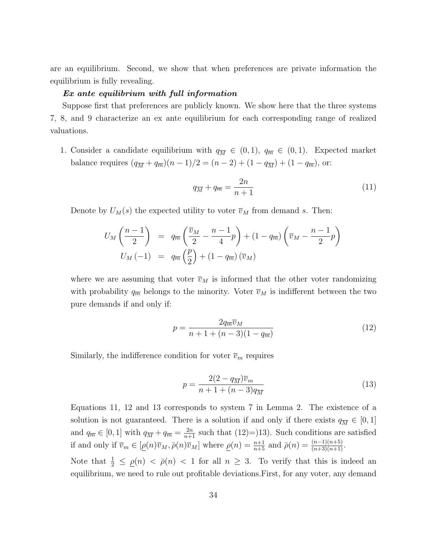are an equilibrium. Second, we show that when preferences are private information the equilibrium is fully revealing.

#### Ex ante equilibrium with full information

Suppose first that preferences are publicly known. We show here that the three systems 7, 8, and 9 characterize an ex ante equilibrium for each corresponding range of realized valuations.

1. Consider a candidate equilibrium with  $q_{\overline{M}} \in (0, 1)$ ,  $q_{\overline{m}} \in (0, 1)$ . Expected market balance requires  $(q_{\overline{M}} + q_{\overline{m}})(n-1)/2 = (n-2) + (1 - q_{\overline{M}}) + (1 - q_{\overline{m}})$ , or:

$$
q_{\overline{M}} + q_{\overline{m}} = \frac{2n}{n+1} \tag{11}
$$

Denote by  $U_M(s)$  the expected utility to voter  $\overline{v}_M$  from demand s. Then:

$$
U_M\left(\frac{n-1}{2}\right) = q_{\overline{m}}\left(\frac{\overline{v}_M}{2} - \frac{n-1}{4}p\right) + (1 - q_{\overline{m}})\left(\overline{v}_M - \frac{n-1}{2}p\right)
$$

$$
U_M(-1) = q_{\overline{m}}\left(\frac{p}{2}\right) + (1 - q_{\overline{m}})\left(\overline{v}_M\right)
$$

where we are assuming that voter  $\overline{v}_M$  is informed that the other voter randomizing with probability  $q_{\overline{m}}$  belongs to the minority. Voter  $\overline{v}_M$  is indifferent between the two pure demands if and only if:

$$
p = \frac{2q_{\overline{m}}\overline{v}_M}{n+1+(n-3)(1-q_{\overline{m}})}
$$
(12)

Similarly, the indifference condition for voter  $\overline{v}_m$  requires

$$
p = \frac{2(2 - q_{\overline{M}})\overline{v}_m}{n + 1 + (n - 3)q_{\overline{M}}}
$$
(13)

Equations 11, 12 and 13 corresponds to system 7 in Lemma 2. The existence of a solution is not guaranteed. There is a solution if and only if there exists  $q_{\overline{M}} \in [0, 1]$ and  $q_{\overline{m}} \in [0,1]$  with  $q_{\overline{M}} + q_{\overline{m}} = \frac{2n}{n+1}$  such that  $(12)=13$ ). Such conditions are satisfied if and only if  $\overline{v}_m \in [\underline{\rho}(n)\overline{v}_M, \overline{\rho}(n)\overline{v}_M]$  where  $\underline{\rho}(n) = \frac{n+1}{n+5}$  and  $\overline{\rho}(n) = \frac{(n-1)(n+5)}{(n+3)(n+1)}$ .

Note that  $\frac{1}{2} \leq \underline{\rho}(n) < \overline{\rho}(n) < 1$  for all  $n \geq 3$ . To verify that this is indeed an equilibrium, we need to rule out profitable deviations.First, for any voter, any demand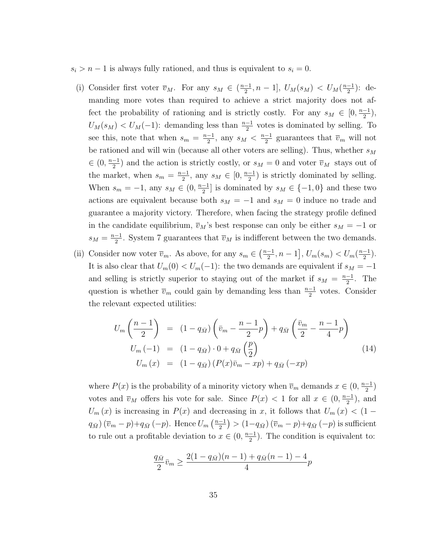$s_i > n-1$  is always fully rationed, and thus is equivalent to  $s_i = 0$ .

- (i) Consider first voter  $\overline{v}_M$ . For any  $s_M \in (\frac{n-1}{2})$  $\frac{-1}{2}, n-1$ ,  $U_M(s_M) < U_M(\frac{n-1}{2})$  $\frac{-1}{2}$ : demanding more votes than required to achieve a strict majority does not affect the probability of rationing and is strictly costly. For any  $s_M \in [0, \frac{n-1}{2}]$  $\frac{-1}{2}$ ),  $U_M(s_M) < U_M(-1)$ : demanding less than  $\frac{n-1}{2}$  votes is dominated by selling. To see this, note that when  $s_m = \frac{n-1}{2}$  $\frac{-1}{2}$ , any  $s_M < \frac{n-1}{2}$  $\frac{-1}{2}$  guarantees that  $\overline{v}_m$  will not be rationed and will win (because all other voters are selling). Thus, whether  $s_{\mathcal{M}}$  $\in (0, \frac{n-1}{2})$  $\frac{-1}{2}$  and the action is strictly costly, or  $s_M = 0$  and voter  $\overline{v}_M$  stays out of the market, when  $s_m = \frac{n-1}{2}$  $\frac{-1}{2}$ , any  $s_M \in [0, \frac{n-1}{2}]$  $\frac{-1}{2}$ ) is strictly dominated by selling. When  $s_m = -1$ , any  $s_M \in (0, \frac{n-1}{2})$  $\frac{-1}{2}$  is dominated by  $s_M \in \{-1,0\}$  and these two actions are equivalent because both  $s_M = -1$  and  $s_M = 0$  induce no trade and guarantee a majority victory. Therefore, when facing the strategy profile defined in the candidate equilibrium,  $\overline{v}_M$ 's best response can only be either  $s_M = -1$  or  $s_M = \frac{n-1}{2}$  $\frac{-1}{2}$ . System 7 guarantees that  $\overline{v}_M$  is indifferent between the two demands.
- (ii) Consider now voter  $\overline{v}_m$ . As above, for any  $s_m \in (\frac{n-1}{2})$  $\left[\frac{-1}{2}, n-1\right], U_m(s_m) < U_m(\frac{n-1}{2})$  $\frac{-1}{2}$ ). It is also clear that  $U_m(0) < U_m(-1)$ : the two demands are equivalent if  $s_M = -1$ and selling is strictly superior to staying out of the market if  $s_M = \frac{n-1}{2}$  $\frac{-1}{2}$ . The question is whether  $\overline{v}_m$  could gain by demanding less than  $\frac{n-1}{2}$  votes. Consider the relevant expected utilities:

$$
U_m\left(\frac{n-1}{2}\right) = (1-q_{\bar{M}})\left(\bar{v}_m - \frac{n-1}{2}p\right) + q_{\bar{M}}\left(\frac{\bar{v}_m}{2} - \frac{n-1}{4}p\right)
$$
  
\n
$$
U_m(-1) = (1-q_{\bar{M}})\cdot 0 + q_{\bar{M}}\left(\frac{p}{2}\right)
$$
  
\n
$$
U_m(x) = (1-q_{\bar{M}})(P(x)\bar{v}_m - xp) + q_{\bar{M}}(-xp)
$$
\n(14)

where  $P(x)$  is the probability of a minority victory when  $\overline{v}_m$  demands  $x \in (0, \frac{n-1}{2})$  $\frac{-1}{2}$ votes and  $\overline{v}_M$  offers his vote for sale. Since  $P(x) < 1$  for all  $x \in (0, \frac{n-1}{2})$  $\frac{-1}{2}$ , and  $U_m(x)$  is increasing in  $P(x)$  and decreasing in x, it follows that  $U_m(x) < (1 q_{\bar{M}} (\bar{v}_m - p) + q_{\bar{M}} (-p)$ . Hence  $U_m \left( \frac{n-1}{2} \right)$  $\left(\frac{-1}{2}\right)>(1-q_{\bar{M}})\left(\overline{v}_{m}-p\right)+q_{\bar{M}}\left(-p\right)$  is sufficient to rule out a profitable deviation to  $x \in (0, \frac{n-1}{2})$  $\frac{-1}{2}$ ). The condition is equivalent to:

$$
\frac{q_{\bar{M}}}{2}\bar{v}_m \ge \frac{2(1-q_{\bar{M}})(n-1) + q_{\bar{M}}(n-1) - 4}{4}p
$$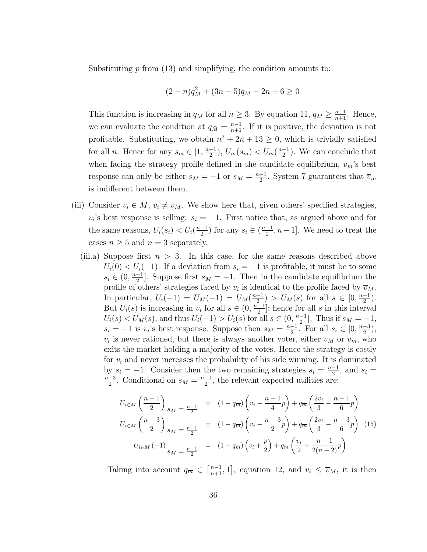Substituting  $p$  from (13) and simplifying, the condition amounts to:

$$
(2-n)q_{\bar{M}}^2 + (3n-5)q_{\bar{M}} - 2n + 6 \ge 0
$$

This function is increasing in  $q_{\bar{M}}$  for all  $n \geq 3$ . By equation 11,  $q_{\bar{M}} \geq \frac{n-1}{n+1}$ . Hence, we can evaluate the condition at  $q_{\bar{M}} = \frac{n-1}{n+1}$ . If it is positive, the deviation is not profitable. Substituting, we obtain  $n^2 + 2n + 13 \geq 0$ , which is trivially satisfied for all *n*. Hence for any  $s_m \in [1, \frac{n-1}{2}]$  $\frac{-1}{2}$ ),  $U_m(s_m) < U_m(\frac{n-1}{2})$  $\frac{-1}{2}$ ). We can conclude that when facing the strategy profile defined in the candidate equilibrium,  $\overline{v}_m$ 's best response can only be either  $s_M = -1$  or  $s_M = \frac{n-1}{2}$  $\frac{-1}{2}$ . System 7 guarantees that  $\overline{v}_m$ is indifferent between them.

- (iii) Consider  $v_i \in M$ ,  $v_i \neq \overline{v}_M$ . We show here that, given others' specified strategies,  $v_i$ 's best response is selling:  $s_i = -1$ . First notice that, as argued above and for the same reasons,  $U_i(s_i) < U_i(\frac{n-1}{2})$  $\frac{-1}{2}$ ) for any  $s_i \in (\frac{n-1}{2})$  $\frac{-1}{2}$ ,  $n-1$ . We need to treat the cases  $n \geq 5$  and  $n = 3$  separately.
	- (iii.a) Suppose first  $n > 3$ . In this case, for the same reasons described above  $U_i(0) < U_i(-1)$ . If a deviation from  $s_i = -1$  is profitable, it must be to some  $s_i \in (0, \frac{n-1}{2})$  $\frac{-1}{2}$ . Suppose first  $s_M = -1$ . Then in the candidate equilibrium the profile of others' strategies faced by  $v_i$  is identical to the profile faced by  $\overline{v}_M$ . In particular,  $U_i(-1) = U_M(-1) = U_M(\frac{n-1}{2})$  $\frac{(-1)}{2}$  >  $U_M(s)$  for all  $s \in [0, \frac{n-1}{2}]$  $\frac{-1}{2}$ ). But  $U_i(s)$  is increasing in  $v_i$  for all  $s \in (0, \frac{n-1}{2})$  $\frac{-1}{2}$ ; hence for all s in this interval  $U_i(s) < U_M(s)$ , and thus  $U_i(-1) > U_i(s)$  for all  $s \in (0, \frac{n-1}{2})$  $\frac{-1}{2}$ . Thus if  $s_M = -1$ ,  $s_i = -1$  is  $v_i$ 's best response. Suppose then  $s_M = \frac{n-1}{2}$  $\frac{-1}{2}$ . For all  $s_i \in [0, \frac{n-3}{2}]$  $\frac{-3}{2}$ ),  $v_i$  is never rationed, but there is always another voter, either  $\overline{v}_M$  or  $\overline{v}_m$ , who exits the market holding a majority of the votes. Hence the strategy is costly for  $v_i$  and never increases the probability of his side winning. It is dominated by  $s_i = -1$ . Consider then the two remaining strategies  $s_i = \frac{n-1}{2}$  $\frac{-1}{2}$ , and  $s_i =$ n−3  $\frac{-3}{2}$ . Conditional on  $s_M = \frac{n-1}{2}$  $\frac{-1}{2}$ , the relevant expected utilities are:

$$
U_{i \in M} \left(\frac{n-1}{2}\right) \Big|_{s_M} = \frac{n-1}{2} = (1 - q_{\overline{m}}) \left(v_i - \frac{n-1}{4}p\right) + q_{\overline{m}} \left(\frac{2v_i}{3} - \frac{n-1}{6}p\right)
$$
  

$$
U_{i \in M} \left(\frac{n-3}{2}\right) \Big|_{s_M} = \frac{n-1}{2} = (1 - q_{\overline{m}}) \left(v_i - \frac{n-3}{2}p\right) + q_{\overline{m}} \left(\frac{2v_i}{3} - \frac{n-3}{6}p\right)
$$
(15)  

$$
U_{i \in M} \left(-1\right) \Big|_{s_M} = \frac{n-1}{2} = (1 - q_{\overline{m}}) \left(v_i + \frac{p}{2}\right) + q_{\overline{m}} \left(\frac{v_i}{2} + \frac{n-1}{2(n-2)}p\right)
$$

Taking into account  $q_{\overline{m}} \in \left[\frac{n-1}{n+1}, 1\right]$ , equation 12, and  $v_i \leq \overline{v}_M$ , it is then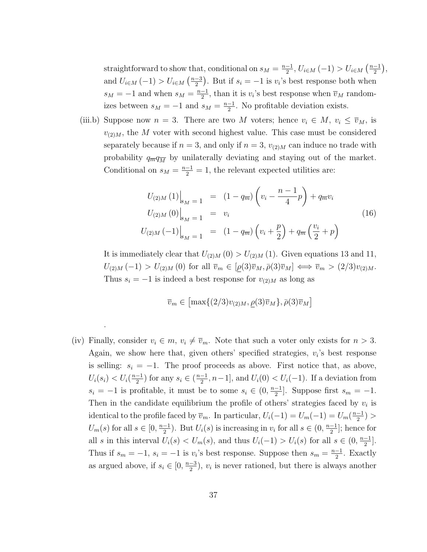straightforward to show that, conditional on  $s_M = \frac{n-1}{2}$  $\frac{-1}{2}$ ,  $U_{i \in M}(-1) > U_{i \in M}(\frac{n-1}{2})$  $\frac{-1}{2}$ ), and  $U_{i \in M}(-1) > U_{i \in M}(\frac{n-3}{2})$  $\frac{-3}{2}$ ). But if  $s_i = -1$  is  $v_i$ 's best response both when  $s_M = -1$  and when  $s_M = \frac{n-1}{2}$  $\frac{-1}{2}$ , than it is  $v_i$ 's best response when  $\overline{v}_M$  randomizes between  $s_M = -1$  and  $s_M = \frac{n-1}{2}$  $\frac{-1}{2}$ . No profitable deviation exists.

(iii.b) Suppose now  $n = 3$ . There are two M voters; hence  $v_i \in M$ ,  $v_i \leq \overline{v}_M$ , is  $v_{(2)M}$ , the M voter with second highest value. This case must be considered separately because if  $n = 3$ , and only if  $n = 3$ ,  $v_{(2)M}$  can induce no trade with probability  $q_{\overline{m}}q_{\overline{M}}$  by unilaterally deviating and staying out of the market. Conditional on  $s_M = \frac{n-1}{2} = 1$ , the relevant expected utilities are:

$$
U_{(2)M}(1)\Big|_{s_M=1} = (1 - q_{\overline{m}}) \left(v_i - \frac{n-1}{4}p\right) + q_{\overline{m}}v_i
$$
  
\n
$$
U_{(2)M}(0)\Big|_{s_M=1} = v_i
$$
  
\n
$$
U_{(2)M}(-1)\Big|_{s_M=1} = (1 - q_{\overline{m}}) \left(v_i + \frac{p}{2}\right) + q_{\overline{m}} \left(\frac{v_i}{2} + p\right)
$$
\n(16)

It is immediately clear that  $U_{(2)M}(0) > U_{(2)M}(1)$ . Given equations 13 and 11,  $U_{(2)M}(-1) > U_{(2)M}(0)$  for all  $\overline{v}_m \in [\rho(3)\overline{v}_M, \overline{\rho}(3)\overline{v}_M] \Longleftrightarrow \overline{v}_m > (2/3)v_{(2)M}.$ Thus  $s_i = -1$  is indeed a best response for  $v_{(2)M}$  as long as

$$
\overline{v}_m \in \left[ \max\{ (2/3) v_{(2)M}, \rho(3) \overline{v}_M \}, \overline{\rho}(3) \overline{v}_M \right]
$$

(iv) Finally, consider  $v_i \in m$ ,  $v_i \neq \overline{v}_m$ . Note that such a voter only exists for  $n > 3$ . Again, we show here that, given others' specified strategies,  $v_i$ 's best response is selling:  $s_i = -1$ . The proof proceeds as above. First notice that, as above,  $U_i(s_i) < U_i(\frac{n-1}{2})$  $\frac{-1}{2}$ ) for any  $s_i \in (\frac{n-1}{2})$  $\frac{-1}{2}$ ,  $n-1$ , and  $U_i(0) < U_i(-1)$ . If a deviation from  $s_i = -1$  is profitable, it must be to some  $s_i \in (0, \frac{n-1}{2})$  $\frac{-1}{2}$ ]. Suppose first  $s_m = -1$ . Then in the candidate equilibrium the profile of others' strategies faced by  $v_i$  is identical to the profile faced by  $\overline{v}_m$ . In particular,  $U_i(-1) = U_m(-1) = U_m(\frac{n-1}{2})$  $\frac{-1}{2}) >$  $U_m(s)$  for all  $s \in [0, \frac{n-1}{2}]$  $\frac{-1}{2}$ ). But  $U_i(s)$  is increasing in  $v_i$  for all  $s \in (0, \frac{n-1}{2})$  $\frac{-1}{2}$ ; hence for all s in this interval  $U_i(s) < U_m(s)$ , and thus  $U_i(-1) > U_i(s)$  for all  $s \in (0, \frac{n-1}{2})$  $\frac{-1}{2}$ . Thus if  $s_m = -1$ ,  $s_i = -1$  is  $v_i$ 's best response. Suppose then  $s_m = \frac{n-1}{2}$  $\frac{-1}{2}$ . Exactly as argued above, if  $s_i \in [0, \frac{n-3}{2}]$  $\frac{-3}{2}$ ,  $v_i$  is never rationed, but there is always another

.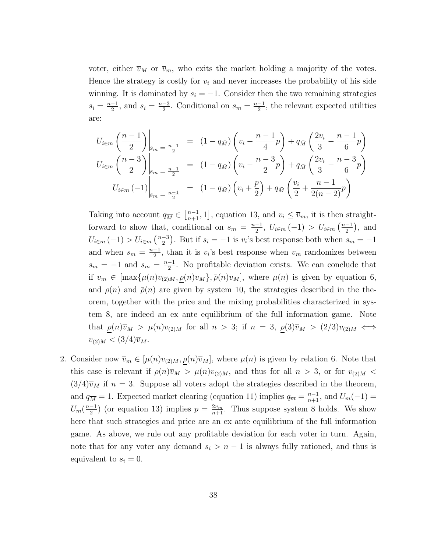voter, either  $\overline{v}_M$  or  $\overline{v}_m$ , who exits the market holding a majority of the votes. Hence the strategy is costly for  $v_i$  and never increases the probability of his side winning. It is dominated by  $s_i = -1$ . Consider then the two remaining strategies  $s_i = \frac{n-1}{2}$  $\frac{-1}{2}$ , and  $s_i = \frac{n-3}{2}$  $\frac{-3}{2}$ . Conditional on  $s_m = \frac{n-1}{2}$  $\frac{-1}{2}$ , the relevant expected utilities are:

$$
U_{i \in m} \left(\frac{n-1}{2}\right) \Big|_{s_m = \frac{n-1}{2}} = (1 - q_{\bar{M}}) \left(v_i - \frac{n-1}{4}p\right) + q_{\bar{M}} \left(\frac{2v_i}{3} - \frac{n-1}{6}p\right)
$$
  

$$
U_{i \in m} \left(\frac{n-3}{2}\right) \Big|_{s_m = \frac{n-1}{2}} = (1 - q_{\bar{M}}) \left(v_i - \frac{n-3}{2}p\right) + q_{\bar{M}} \left(\frac{2v_i}{3} - \frac{n-3}{6}p\right)
$$
  

$$
U_{i \in m} \left(-1\right) \Big|_{s_m = \frac{n-1}{2}} = (1 - q_{\bar{M}}) \left(v_i + \frac{p}{2}\right) + q_{\bar{M}} \left(\frac{v_i}{2} + \frac{n-1}{2(n-2)}p\right)
$$

Taking into account  $q_{\overline{M}} \in \left[\frac{n-1}{n+1}, 1\right]$ , equation 13, and  $v_i \leq \overline{v}_m$ , it is then straightforward to show that, conditional on  $s_m = \frac{n-1}{2}$  $\frac{-1}{2}$ ,  $U_{i \in m}(-1) > U_{i \in m}(\frac{n-1}{2})$  $\frac{-1}{2}$ , and  $U_{i \in m}(-1) > U_{i \in m}(\frac{n-3}{2})$  $\frac{-3}{2}$ ). But if  $s_i = -1$  is  $v_i$ 's best response both when  $s_m = -1$ and when  $s_m = \frac{n-1}{2}$  $\frac{-1}{2}$ , than it is  $v_i$ 's best response when  $\overline{v}_m$  randomizes between  $s_m = -1$  and  $s_m = \frac{n-1}{2}$  $\frac{-1}{2}$ . No profitable deviation exists. We can conclude that if  $\overline{v}_m \in [\max{\mu(n)v_{(2)M}, \rho(n)\overline{v}_M}, \overline{\rho(n)}\overline{v}_M]$ , where  $\mu(n)$  is given by equation 6, and  $\rho(n)$  and  $\bar{\rho}(n)$  are given by system 10, the strategies described in the theorem, together with the price and the mixing probabilities characterized in system 8, are indeed an ex ante equilibrium of the full information game. Note that  $\rho(n)\overline{v}_M > \mu(n)v_{(2)M}$  for all  $n > 3$ ; if  $n = 3$ ,  $\rho(3)\overline{v}_M > (2/3)v_{(2)M} \iff$  $v_{(2)M} < (3/4)\overline{v}_M$ .

2. Consider now  $\overline{v}_m \in [\mu(n)v_{(2)M}, \rho(n)\overline{v}_M]$ , where  $\mu(n)$  is given by relation 6. Note that this case is relevant if  $\rho(n)\overline{v}_M > \mu(n)v_{(2)M}$ , and thus for all  $n > 3$ , or for  $v_{(2)M}$  <  $(3/4)\overline{v}_M$  if  $n = 3$ . Suppose all voters adopt the strategies described in the theorem, and  $q_{\overline{M}} = 1$ . Expected market clearing (equation 11) implies  $q_{\overline{m}} = \frac{n-1}{n+1}$ , and  $U_m(-1) =$  $U_m(\frac{n-1}{2})$  $\frac{-1}{2}$ ) (or equation 13) implies  $p = \frac{2\overline{v}_m}{n+1}$ . Thus suppose system 8 holds. We show here that such strategies and price are an ex ante equilibrium of the full information game. As above, we rule out any profitable deviation for each voter in turn. Again, note that for any voter any demand  $s_i > n - 1$  is always fully rationed, and thus is equivalent to  $s_i = 0$ .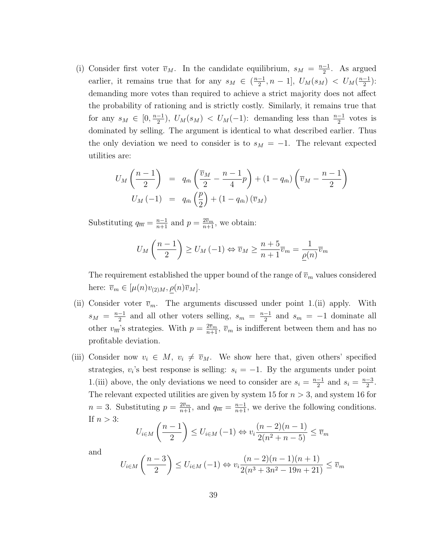(i) Consider first voter  $\overline{v}_M$ . In the candidate equilibrium,  $s_M = \frac{n-1}{2}$  $\frac{-1}{2}$ . As argued earlier, it remains true that for any  $s_M \in \left(\frac{n-1}{2}\right)$  $\frac{-1}{2}, n-1$ ],  $U_M(s_M) < U_M(\frac{n-1}{2})$  $\frac{-1}{2}$ ): demanding more votes than required to achieve a strict majority does not affect the probability of rationing and is strictly costly. Similarly, it remains true that for any  $s_M \in [0, \frac{n-1}{2}]$  $\frac{(-1)}{2}$ ,  $U_M(s_M) < U_M(-1)$ : demanding less than  $\frac{n-1}{2}$  votes is dominated by selling. The argument is identical to what described earlier. Thus the only deviation we need to consider is to  $s_M = -1$ . The relevant expected utilities are:

$$
U_M\left(\frac{n-1}{2}\right) = q_{\bar{m}}\left(\frac{\bar{v}_M}{2} - \frac{n-1}{4}p\right) + (1 - q_{\bar{m}})\left(\bar{v}_M - \frac{n-1}{2}\right)
$$
  

$$
U_M(-1) = q_{\bar{m}}\left(\frac{p}{2}\right) + (1 - q_{\bar{m}})\left(\bar{v}_M\right)
$$

Substituting  $q_{\overline{m}} = \frac{n-1}{n+1}$  and  $p = \frac{2\overline{v}_m}{n+1}$ , we obtain:

$$
U_M\left(\frac{n-1}{2}\right) \ge U_M\left(-1\right) \Leftrightarrow \overline{v}_M \ge \frac{n+5}{n+1}\overline{v}_m = \frac{1}{\underline{\rho}(n)}\overline{v}_m
$$

The requirement established the upper bound of the range of  $\overline{v}_m$  values considered here:  $\overline{v}_m \in [\mu(n)v_{(2)M}, \rho(n)\overline{v}_M].$ 

- (ii) Consider voter  $\overline{v}_m$ . The arguments discussed under point 1.(ii) apply. With  $s_M = \frac{n-1}{2}$  $\frac{-1}{2}$  and all other voters selling,  $s_m = \frac{n-1}{2}$  $\frac{-1}{2}$  and  $s_m = -1$  dominate all other  $v_{\overline{m}}$ 's strategies. With  $p = \frac{2\overline{v}_m}{n+1}$ ,  $\overline{v}_m$  is indifferent between them and has no profitable deviation.
- (iii) Consider now  $v_i \in M$ ,  $v_i \neq \overline{v}_M$ . We show here that, given others' specified strategies,  $v_i$ 's best response is selling:  $s_i = -1$ . By the arguments under point 1.(iii) above, the only deviations we need to consider are  $s_i = \frac{n-1}{2}$  $\frac{-1}{2}$  and  $s_i = \frac{n-3}{2}$  $\frac{-3}{2}$ . The relevant expected utilities are given by system 15 for  $n > 3$ , and system 16 for  $n=3$ . Substituting  $p=\frac{2\bar{v}_m}{n+1}$ , and  $q_{\overline{m}}=\frac{n-1}{n+1}$ , we derive the following conditions. If  $n > 3$ :

$$
U_{i \in M} \left(\frac{n-1}{2}\right) \le U_{i \in M} \left(-1\right) \Leftrightarrow v_i \frac{(n-2)(n-1)}{2(n^2+n-5)} \le \overline{v}_m
$$

and

$$
U_{i \in M} \left( \frac{n-3}{2} \right) \le U_{i \in M} \left( -1 \right) \Leftrightarrow v_i \frac{(n-2)(n-1)(n+1)}{2(n^3 + 3n^2 - 19n + 21)} \le \overline{v}_m
$$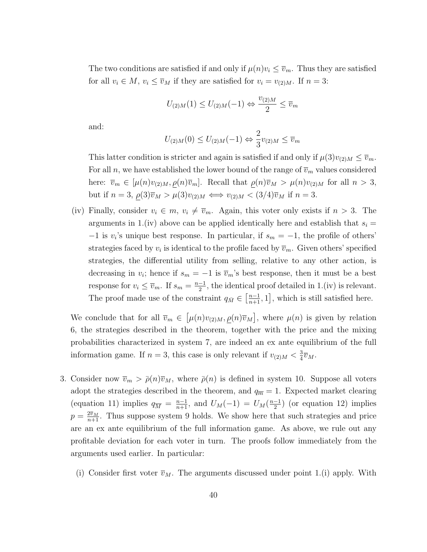The two conditions are satisfied if and only if  $\mu(n)v_i \leq \overline{v}_m$ . Thus they are satisfied for all  $v_i \in M$ ,  $v_i \leq \overline{v}_M$  if they are satisfied for  $v_i = v_{(2)M}$ . If  $n = 3$ :

$$
U_{(2)M}(1) \le U_{(2)M}(-1) \Leftrightarrow \frac{v_{(2)M}}{2} \le \overline{v}_m
$$

and:

$$
U_{(2)M}(0) \le U_{(2)M}(-1) \Leftrightarrow \frac{2}{3}v_{(2)M} \le \overline{v}_m
$$

This latter condition is stricter and again is satisfied if and only if  $\mu(3)v_{(2)M} \leq \overline{v}_m$ . For all n, we have established the lower bound of the range of  $\overline{v}_m$  values considered here:  $\overline{v}_m \in [\mu(n)v_{(2)M}, \rho(n)\overline{v}_m]$ . Recall that  $\rho(n)\overline{v}_M > \mu(n)v_{(2)M}$  for all  $n > 3$ , but if  $n = 3$ ,  $\rho(3)\overline{v}_M > \mu(3)v_{(2)M} \Longleftrightarrow v_{(2)M} < (3/4)\overline{v}_M$  if  $n = 3$ .

(iv) Finally, consider  $v_i \in m$ ,  $v_i \neq \overline{v}_m$ . Again, this voter only exists if  $n > 3$ . The arguments in 1.(iv) above can be applied identically here and establish that  $s_i =$  $-1$  is v<sub>i</sub>'s unique best response. In particular, if  $s_m = -1$ , the profile of others' strategies faced by  $v_i$  is identical to the profile faced by  $\overline{v}_m$ . Given others' specified strategies, the differential utility from selling, relative to any other action, is decreasing in  $v_i$ ; hence if  $s_m = -1$  is  $\overline{v}_m$ 's best response, then it must be a best response for  $v_i \leq \overline{v}_m$ . If  $s_m = \frac{n-1}{2}$  $\frac{-1}{2}$ , the identical proof detailed in 1.(iv) is relevant. The proof made use of the constraint  $q_{\bar{M}} \in \left[\frac{n-1}{n+1}, 1\right]$ , which is still satisfied here.

We conclude that for all  $\overline{v}_m \in [\mu(n)v_{(2)M}, \rho(n)\overline{v}_M]$ , where  $\mu(n)$  is given by relation 6, the strategies described in the theorem, together with the price and the mixing probabilities characterized in system 7, are indeed an ex ante equilibrium of the full information game. If  $n=3$ , this case is only relevant if  $v_{(2)M} < \frac{3}{4}$  $\frac{3}{4}\overline{v}_M$ .

- 3. Consider now  $\overline{v}_m > \overline{\rho}(n)\overline{v}_M$ , where  $\overline{\rho}(n)$  is defined in system 10. Suppose all voters adopt the strategies described in the theorem, and  $q_{\overline{m}} = 1$ . Expected market clearing (equation 11) implies  $q_{\overline{M}} = \frac{n-1}{n+1}$ , and  $U_M(-1) = U_M(\frac{n-1}{2})$  $\frac{-1}{2}$  (or equation 12) implies  $p = \frac{2\bar{v}_M}{n+1}$ . Thus suppose system 9 holds. We show here that such strategies and price are an ex ante equilibrium of the full information game. As above, we rule out any profitable deviation for each voter in turn. The proofs follow immediately from the arguments used earlier. In particular:
	- (i) Consider first voter  $\overline{v}_M$ . The arguments discussed under point 1.(i) apply. With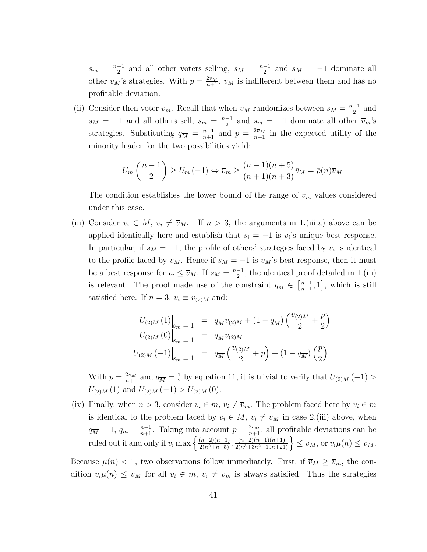$s_m = \frac{n-1}{2}$  $\frac{-1}{2}$  and all other voters selling,  $s_M = \frac{n-1}{2}$  $\frac{-1}{2}$  and  $s_M = -1$  dominate all other  $\overline{v}_M$ 's strategies. With  $p = \frac{2\overline{v}_M}{n+1}$ ,  $\overline{v}_M$  is indifferent between them and has no profitable deviation.

(ii) Consider then voter  $\overline{v}_m$ . Recall that when  $\overline{v}_M$  randomizes between  $s_M = \frac{n-1}{2}$  $\frac{-1}{2}$  and  $s_M = -1$  and all others sell,  $s_m = \frac{n-1}{2}$  $\frac{-1}{2}$  and  $s_m = -1$  dominate all other  $\overline{v}_m$ 's strategies. Substituting  $q_{\overline{M}} = \frac{n-1}{n+1}$  and  $p = \frac{2\overline{v}_M}{n+1}$  in the expected utility of the minority leader for the two possibilities yield:

$$
U_m\left(\frac{n-1}{2}\right) \ge U_m\left(-1\right) \Leftrightarrow \overline{v}_m \ge \frac{(n-1)(n+5)}{(n+1)(n+3)}\overline{v}_M = \overline{\rho}(n)\overline{v}_M
$$

The condition establishes the lower bound of the range of  $\overline{v}_m$  values considered under this case.

(iii) Consider  $v_i \in M$ ,  $v_i \neq \overline{v}_M$ . If  $n > 3$ , the arguments in 1.(iii.a) above can be applied identically here and establish that  $s_i = -1$  is  $v_i$ 's unique best response. In particular, if  $s_M = -1$ , the profile of others' strategies faced by  $v_i$  is identical to the profile faced by  $\overline{v}_M$ . Hence if  $s_M = -1$  is  $\overline{v}_M$ 's best response, then it must be a best response for  $v_i \leq \overline{v}_M$ . If  $s_M = \frac{n-1}{2}$  $\frac{-1}{2}$ , the identical proof detailed in 1.(iii) is relevant. The proof made use of the constraint  $q_m \in \left[\frac{n-1}{n+1}, 1\right]$ , which is still satisfied here. If  $n = 3$ ,  $v_i \equiv v_{(2)M}$  and:

$$
U_{(2)M}(1)\Big|_{s_m=1} = q_{\overline{M}}v_{(2)M} + (1 - q_{\overline{M}})\left(\frac{v_{(2)M}}{2} + \frac{p}{2}\right)
$$
  

$$
U_{(2)M}(0)\Big|_{s_m=1} = q_{\overline{M}}v_{(2)M}
$$
  

$$
U_{(2)M}(-1)\Big|_{s_m=1} = q_{\overline{M}}\left(\frac{v_{(2)M}}{2} + p\right) + (1 - q_{\overline{M}})\left(\frac{p}{2}\right)
$$

With  $p = \frac{2\overline{v}_M}{n+1}$  and  $q_{\overline{M}} = \frac{1}{2}$  $\frac{1}{2}$  by equation 11, it is trivial to verify that  $U_{(2)M}(-1)$  $U_{(2)M} (1)$  and  $U_{(2)M} (-1) > U_{(2)M} (0)$ .

(iv) Finally, when  $n > 3$ , consider  $v_i \in m$ ,  $v_i \neq \overline{v}_m$ . The problem faced here by  $v_i \in m$ is identical to the problem faced by  $v_i \in M$ ,  $v_i \neq \overline{v}_M$  in case 2.(iii) above, when  $q_{\overline{M}} = 1, q_{\overline{m}} = \frac{n-1}{n+1}$ . Taking into account  $p = \frac{2\bar{v}_M}{n+1}$ , all profitable deviations can be ruled out if and only if  $v_i \max\left\{\frac{(n-2)(n-1)}{2(n^2+n-5)}, \frac{(n-2)(n-1)(n+1)}{2(n^3+3n^2-19n+21)}\right\} \leq \overline{v}_M$ , or  $v_i\mu(n) \leq \overline{v}_M$ .

Because  $\mu(n) < 1$ , two observations follow immediately. First, if  $\overline{v}_M \ge \overline{v}_m$ , the condition  $v_i\mu(n) \leq \overline{v}_M$  for all  $v_i \in m$ ,  $v_i \neq \overline{v}_m$  is always satisfied. Thus the strategies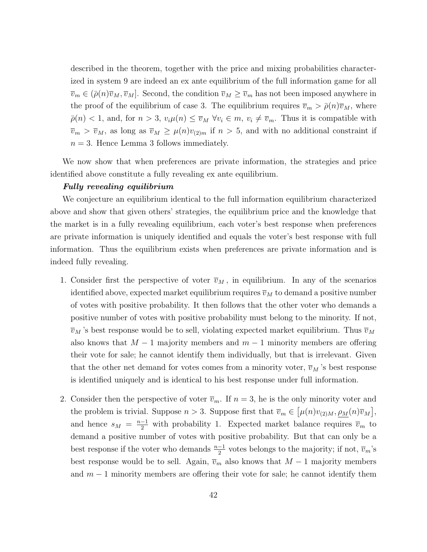described in the theorem, together with the price and mixing probabilities characterized in system 9 are indeed an ex ante equilibrium of the full information game for all  $\overline{v}_m \in (\overline{\rho}(n)\overline{v}_M, \overline{v}_M]$ . Second, the condition  $\overline{v}_M \ge \overline{v}_m$  has not been imposed anywhere in the proof of the equilibrium of case 3. The equilibrium requires  $\bar{v}_m > \bar{\rho}(n)\bar{v}_M$ , where  $\bar{\rho}(n) < 1$ , and, for  $n > 3$ ,  $v_i \mu(n) \leq \bar{v}_M \ \forall v_i \in m$ ,  $v_i \neq \bar{v}_m$ . Thus it is compatible with  $\overline{v}_m > \overline{v}_M$ , as long as  $\overline{v}_M \ge \mu(n)v_{(2)m}$  if  $n > 5$ , and with no additional constraint if  $n = 3$ . Hence Lemma 3 follows immediately.

We now show that when preferences are private information, the strategies and price identified above constitute a fully revealing ex ante equilibrium.

#### Fully revealing equilibrium

We conjecture an equilibrium identical to the full information equilibrium characterized above and show that given others' strategies, the equilibrium price and the knowledge that the market is in a fully revealing equilibrium, each voter's best response when preferences are private information is uniquely identified and equals the voter's best response with full information. Thus the equilibrium exists when preferences are private information and is indeed fully revealing.

- 1. Consider first the perspective of voter  $\overline{v}_M$ , in equilibrium. In any of the scenarios identified above, expected market equilibrium requires  $\overline{v}_M$  to demand a positive number of votes with positive probability. It then follows that the other voter who demands a positive number of votes with positive probability must belong to the minority. If not,  $\overline{v}_M$ 's best response would be to sell, violating expected market equilibrium. Thus  $\overline{v}_M$ also knows that  $M-1$  majority members and  $m-1$  minority members are offering their vote for sale; he cannot identify them individually, but that is irrelevant. Given that the other net demand for votes comes from a minority voter,  $\overline{v}_M$ 's best response is identified uniquely and is identical to his best response under full information.
- 2. Consider then the perspective of voter  $\overline{v}_m$ . If  $n = 3$ , he is the only minority voter and the problem is trivial. Suppose  $n > 3$ . Suppose first that  $\overline{v}_m \in [\mu(n)v_{(2)M}, \rho_M(n)\overline{v}_M],$ and hence  $s_M = \frac{n-1}{2}$  with probability 1. Expected market balance requires  $\overline{v}_m$  to demand a positive number of votes with positive probability. But that can only be a best response if the voter who demands  $\frac{n-1}{2}$  votes belongs to the majority; if not,  $\overline{v}_m$ 's best response would be to sell. Again,  $\overline{v}_m$  also knows that  $M - 1$  majority members and  $m-1$  minority members are offering their vote for sale; he cannot identify them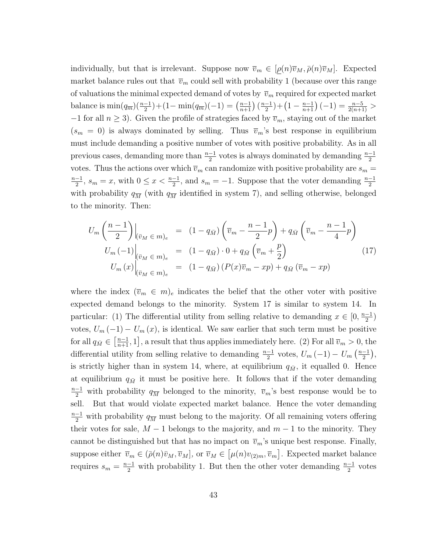individually, but that is irrelevant. Suppose now  $\overline{v}_m \in [\rho(n)\overline{v}_M, \overline{\rho}(n)\overline{v}_M]$ . Expected market balance rules out that  $\overline{v}_m$  could sell with probability 1 (because over this range of valuations the minimal expected demand of votes by  $\bar{v}_m$  required for expected market balance is  $\min(q_{\overline{m}})(\frac{n-1}{2}) + (1 - \min(q_{\overline{m}})(-1)) = (\frac{n-1}{n+1})(\frac{n-1}{2})$  $\frac{-1}{2}$ ) +  $\left(1-\frac{n-1}{n+1}\right)(-1) = \frac{n-5}{2(n+1)}$  > −1 for all  $n \geq 3$ ). Given the profile of strategies faced by  $\overline{v}_m$ , staying out of the market  $(s_m = 0)$  is always dominated by selling. Thus  $\overline{v}_m$ 's best response in equilibrium must include demanding a positive number of votes with positive probability. As in all previous cases, demanding more than  $\frac{n-1}{2}$  votes is always dominated by demanding  $\frac{n-1}{2}$ votes. Thus the actions over which  $\overline{v}_m$  can randomize with positive probability are  $s_m =$  $n-1$  $\frac{-1}{2}$ ,  $s_m = x$ , with  $0 \le x < \frac{n-1}{2}$ , and  $s_m = -1$ . Suppose that the voter demanding  $\frac{n-1}{2}$ with probability  $q_{\overline{M}}$  (with  $q_{\overline{M}}$  identified in system 7), and selling otherwise, belonged to the minority. Then:

$$
U_m \left(\frac{n-1}{2}\right) \Big|_{\left(\bar{v}_M \in m\right)_e} = (1 - q_{\bar{M}}) \left(\bar{v}_m - \frac{n-1}{2}p\right) + q_{\bar{M}} \left(\bar{v}_m - \frac{n-1}{4}p\right)
$$
  
\n
$$
U_m \left(-1\right) \Big|_{\left(\bar{v}_M \in m\right)_e} = (1 - q_{\bar{M}}) \cdot 0 + q_{\bar{M}} \left(\bar{v}_m + \frac{p}{2}\right)
$$
  
\n
$$
U_m \left(x\right) \Big|_{\left(\bar{v}_M \in m\right)_e} = (1 - q_{\bar{M}}) \left(P(x)\bar{v}_m - xp\right) + q_{\bar{M}} \left(\bar{v}_m - xp\right)
$$
\n(17)

where the index  $(\overline{v}_m \in m)_e$  indicates the belief that the other voter with positive expected demand belongs to the minority. System 17 is similar to system 14. In particular: (1) The differential utility from selling relative to demanding  $x \in [0, \frac{n-1}{2}]$  $\frac{-1}{2}$ votes,  $U_m(-1) - U_m(x)$ , is identical. We saw earlier that such term must be positive for all  $q_{\bar{M}} \in \left[\frac{n-1}{n+1}, 1\right]$ , a result that thus applies immediately here. (2) For all  $\overline{v}_m > 0$ , the differential utility from selling relative to demanding  $\frac{n-1}{2}$  votes,  $U_m(-1) - U_m\left(\frac{n-1}{2}\right)$  $\frac{-1}{2}$ ), is strictly higher than in system 14, where, at equilibrium  $q_{\bar{M}}$ , it equalled 0. Hence at equilibrium  $q_{\bar{M}}$  it must be positive here. It follows that if the voter demanding  $\frac{n-1}{2}$  with probability  $q_{\overline{M}}$  belonged to the minority,  $\overline{v}_m$ 's best response would be to sell. But that would violate expected market balance. Hence the voter demanding  $\frac{n-1}{2}$  with probability  $q_{\overline{M}}$  must belong to the majority. Of all remaining voters offering their votes for sale,  $M - 1$  belongs to the majority, and  $m - 1$  to the minority. They cannot be distinguished but that has no impact on  $\overline{v}_m$ 's unique best response. Finally, suppose either  $\overline{v}_m \in (\overline{\rho}(n)\overline{v}_M, \overline{v}_M]$ , or  $\overline{v}_M \in [\mu(n)v_{(2)m}, \overline{v}_m]$ . Expected market balance requires  $s_m = \frac{n-1}{2}$  with probability 1. But then the other voter demanding  $\frac{n-1}{2}$  votes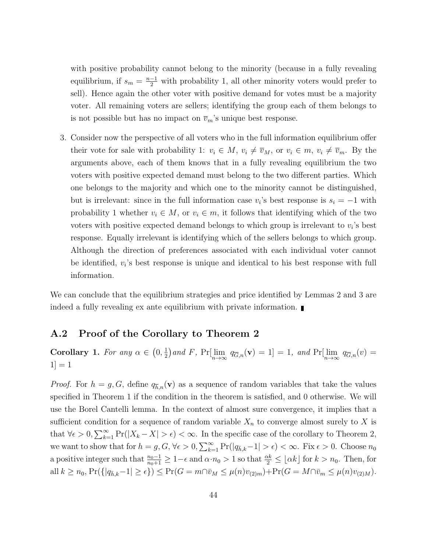with positive probability cannot belong to the minority (because in a fully revealing equilibrium, if  $s_m = \frac{n-1}{2}$  with probability 1, all other minority voters would prefer to sell). Hence again the other voter with positive demand for votes must be a majority voter. All remaining voters are sellers; identifying the group each of them belongs to is not possible but has no impact on  $\overline{v}_m$ 's unique best response.

3. Consider now the perspective of all voters who in the full information equilibrium offer their vote for sale with probability 1:  $v_i \in M$ ,  $v_i \neq \overline{v}_M$ , or  $v_i \in m$ ,  $v_i \neq \overline{v}_m$ . By the arguments above, each of them knows that in a fully revealing equilibrium the two voters with positive expected demand must belong to the two different parties. Which one belongs to the majority and which one to the minority cannot be distinguished, but is irrelevant: since in the full information case  $v_i$ 's best response is  $s_i = -1$  with probability 1 whether  $v_i \in M$ , or  $v_i \in m$ , it follows that identifying which of the two voters with positive expected demand belongs to which group is irrelevant to  $v_i$ 's best response. Equally irrelevant is identifying which of the sellers belongs to which group. Although the direction of preferences associated with each individual voter cannot be identified,  $v_i$ 's best response is unique and identical to his best response with full information.

We can conclude that the equilibrium strategies and price identified by Lemmas 2 and 3 are indeed a fully revealing ex ante equilibrium with private information.

#### A.2 Proof of the Corollary to Theorem 2

Corollary 1. For any  $\alpha \in (0, \frac{1}{2})$  $\frac{1}{2}$ ) and F, Pr[ $\lim_{n\to\infty} q_{\overline{G},n}(\mathbf{v}) = 1$ ] = 1, and Pr[ $\lim_{n\to\infty} q_{\overline{G},n}(v)$  =  $|1|=1$ 

*Proof.* For  $h = g, G$ , define  $q_{\overline{h},n}(\mathbf{v})$  as a sequence of random variables that take the values specified in Theorem 1 if the condition in the theorem is satisfied, and 0 otherwise. We will use the Borel Cantelli lemma. In the context of almost sure convergence, it implies that a sufficient condition for a sequence of random variable  $X_n$  to converge almost surely to X is that  $\forall \epsilon > 0, \sum_{k=1}^{\infty} \Pr(|X_k - X| > \epsilon) < \infty$ . In the specific case of the corollary to Theorem 2, we want to show that for  $h = g, G, \forall \epsilon > 0, \sum_{k=1}^{\infty} \Pr(|q_{\bar{h},k}-1| > \epsilon) < \infty$ . Fix  $\epsilon > 0$ . Choose  $n_0$ a positive integer such that  $\frac{n_0-1}{n_0+1} \geq 1-\epsilon$  and  $\alpha \cdot n_0 > 1$  so that  $\frac{\alpha k}{2} \leq \lfloor \alpha k \rfloor$  for  $k > n_0$ . Then, for all  $k \ge n_0$ ,  $Pr({[q_{\bar{h},k}-1] \ge \epsilon}) \le Pr(G = m \cap \bar{v}_M \le \mu(n)v_{(2)m}) + Pr(G = M \cap \bar{v}_m \le \mu(n)v_{(2)M}).$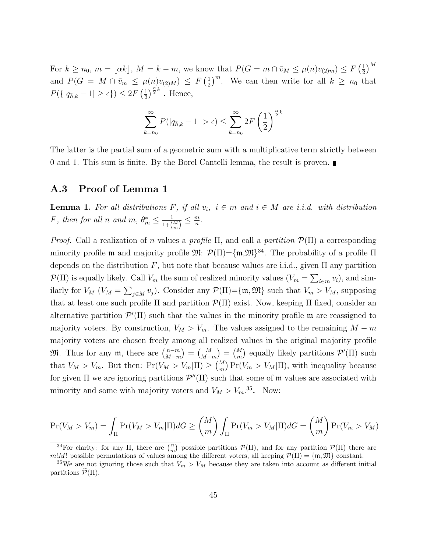For  $k \geq n_0$ ,  $m = \lfloor \alpha k \rfloor$ ,  $M = k - m$ , we know that  $P(G = m \cap \bar{v}_M \leq \mu(n)v_{(2)m}) \leq F\left(\frac{1}{2}\right)$  $\frac{1}{2}$ <sup>M</sup> and  $P(G = M \cap \bar{v}_m \leq \mu(n)v_{(2)M}) \leq F\left(\frac{1}{2}\right)$  $\frac{1}{2}$ <sup>m</sup>. We can then write for all  $k \geq n_0$  that  $P({|q_{\bar{h},k} - 1| \ge \epsilon}) \le 2F(\frac{1}{2})$  $\frac{1}{2}$  $\int_0^{\frac{\alpha}{2}k}$ . Hence,

$$
\sum_{k=n_0}^{\infty} P(|q_{\bar{h},k} - 1| > \epsilon) \le \sum_{k=n_0}^{\infty} 2F\left(\frac{1}{2}\right)^{\frac{\alpha}{2}k}
$$

The latter is the partial sum of a geometric sum with a multiplicative term strictly between 0 and 1. This sum is finite. By the Borel Cantelli lemma, the result is proven.

#### A.3 Proof of Lemma 1

**Lemma 1.** For all distributions F, if all  $v_i$ ,  $i \in m$  and  $i \in M$  are i.i.d. with distribution F, then for all n and  $m, \theta_m^* \leq \frac{1}{1+\theta_m}$  $\frac{1}{1+\binom{M}{m}} \leq \frac{m}{n}$  $\frac{m}{n}$  .

*Proof.* Call a realization of n values a profile  $\Pi$ , and call a partition  $\mathcal{P}(\Pi)$  a corresponding minority profile **m** and majority profile  $\mathfrak{M}$ :  $\mathcal{P}(\Pi) = {\mathfrak{m}, \mathfrak{M}}^{34}$ . The probability of a profile  $\Pi$ depends on the distribution F, but note that because values are i.i.d., given  $\Pi$  any partition  $\mathcal{P}(\Pi)$  is equally likely. Call  $V_m$  the sum of realized minority values  $(V_m = \sum_{i \in m} v_i)$ , and similarly for  $V_M$   $(V_M = \sum_{j \in M} v_j)$ . Consider any  $\mathcal{P}(\Pi) = \{\mathfrak{m}, \mathfrak{M}\}\$  such that  $V_m > V_M$ , supposing that at least one such profile  $\Pi$  and partition  $\mathcal{P}(\Pi)$  exist. Now, keeping  $\Pi$  fixed, consider an alternative partition  $\mathcal{P}'(\Pi)$  such that the values in the minority profile  $\mathfrak{m}$  are reassigned to majority voters. By construction,  $V_M > V_m$ . The values assigned to the remaining  $M - m$ majority voters are chosen freely among all realized values in the original majority profile **M.** Thus for any **m**, there are  $\binom{n-m}{M-m}$  $\binom{n-m}{M-m} = \binom{M}{m}$  equally likely partitions  $\mathcal{P}'(\Pi)$  such that  $V_M > V_m$ . But then:  $Pr(V_M > V_m | \Pi) \geq {M \choose m} Pr(V_m > V_M | \Pi)$ , with inequality because for given  $\Pi$  we are ignoring partitions  $\mathcal{P}''(\Pi)$  such that some of m values are associated with minority and some with majority voters and  $V_M > V_m^{35}$ . Now:

$$
\Pr(V_M > V_m) = \int_{\Pi} \Pr(V_M > V_m | \Pi) dG \ge \binom{M}{m} \int_{\Pi} \Pr(V_m > V_M | \Pi) dG = \binom{M}{m} \Pr(V_m > V_M)
$$

<sup>&</sup>lt;sup>34</sup>For clarity: for any Π, there are  $\binom{n}{m}$  possible partitions  $\mathcal{P}(\Pi)$ , and for any partition  $\mathcal{P}(\Pi)$  there are m!M! possible permutations of values among the different voters, all keeping  $\mathcal{P}(\Pi) = \{\mathfrak{m}, \mathfrak{M}\}\)$  constant.

<sup>&</sup>lt;sup>35</sup>We are not ignoring those such that  $V_m > V_M$  because they are taken into account as different initial partitions  $\mathcal{P}(\Pi)$ .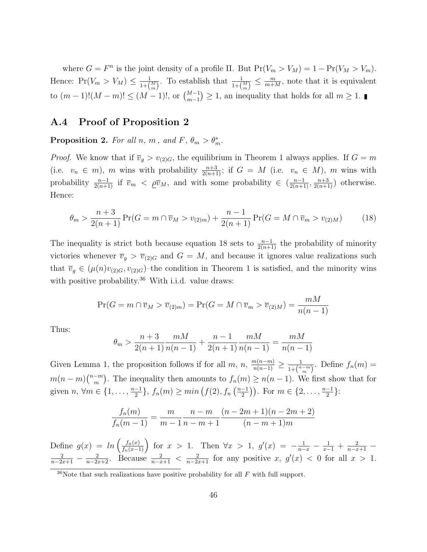where  $G = F^n$  is the joint density of a profile  $\Pi$ . But  $Pr(V_m > V_M) = 1 - Pr(V_M > V_m)$ . Hence:  $Pr(V_m > V_M) \leq \frac{1}{1+\ell}$  $\frac{1}{1+\binom{M}{m}}$ . To establish that  $\frac{1}{1+\binom{M}{m}} \leq \frac{m}{m+1}$  $\frac{m}{m+M}$ , note that it is equivalent to  $(m-1)!(M-m)! \leq (M-1)!$ , or  $\binom{M-1}{m-1} \geq 1$ , an inequality that holds for all  $m \geq 1$ .

#### A.4 Proof of Proposition 2

**Proposition 2.** For all n, m, and F,  $\theta_m > \theta_m^*$ .

*Proof.* We know that if  $\overline{v}_g > v_{(2)G}$ , the equilibrium in Theorem 1 always applies. If  $G = m$ (i.e.  $v_n \in m$ ), m wins with probability  $\frac{n+3}{2(n+1)}$ ; if  $G = M$  (i.e.  $v_n \in M$ ), m wins with probability  $\frac{n-1}{2(n+1)}$  if  $\overline{v}_m < \rho \overline{v}_M$ , and with some probability  $\in (\frac{n-1}{2(n+1)}, \frac{n+3}{2(n+1)})$  otherwise. Hence:

$$
\theta_m > \frac{n+3}{2(n+1)} \Pr(G = m \cap \overline{v}_M > v_{(2)m}) + \frac{n-1}{2(n+1)} \Pr(G = M \cap \overline{v}_m > v_{(2)M}) \tag{18}
$$

The inequality is strict both because equation 18 sets to  $\frac{n-1}{2(n+1)}$  the probability of minority victories whenever  $\overline{v}_g > \overline{v}_{(2)G}$  and  $G = M$ , and because it ignores value realizations such that  $\overline{v}_g \in (\mu(n)v_{(2)G}, v_{(2)G})$ -the condition in Theorem 1 is satisfied, and the minority wins with positive probability.<sup>36</sup> With i.i.d. value draws:

$$
\Pr(G = m \cap \overline{v}_M > \overline{v}_{(2)m}) = \Pr(G = M \cap \overline{v}_m > \overline{v}_{(2)M}) = \frac{mM}{n(n-1)}
$$

Thus:

$$
\theta_m > \frac{n+3}{2(n+1)} \frac{mM}{n(n-1)} + \frac{n-1}{2(n+1)} \frac{mM}{n(n-1)} = \frac{mM}{n(n-1)}
$$

Given Lemma 1, the proposition follows if for all  $m$ ,  $n$ ,  $\frac{m(n-m)}{n(n-1)} \geq \frac{1}{1+(n-m)}$  $\frac{1}{1+\binom{n-m}{m}}$ . Define  $f_n(m) =$  $m(n-m)\binom{n-m}{m}$  $\binom{-m}{m}$ . The inequality then amounts to  $f_n(m) \geq n(n-1)$ . We first show that for given  $n, \forall m \in \{1, \ldots, \frac{n-1}{2}\}$  $\frac{-1}{2}$ ,  $f_n(m) \geq min\left(f(2), f_n\left(\frac{n-1}{2}\right)\right)$  $\frac{-1}{2}$ ). For  $m \in \{2, \ldots, \frac{n-1}{2}\}$  $\frac{-1}{2}$ :

$$
\frac{f_n(m)}{f_n(m-1)} = \frac{m}{m-1} \frac{n-m}{n-m+1} \frac{(n-2m+1)(n-2m+2)}{(n-m+1)m}
$$

Define  $g(x) = ln\left(\frac{f_n(x)}{f_n(x-1)}\right)$  for  $x > 1$ . Then  $\forall x > 1$ ,  $g'(x) = -\frac{1}{n-x} - \frac{1}{x-1} + \frac{2}{n-x+1}$  $\frac{2}{n-2x+1} - \frac{2}{n-2x+2}$ . Because  $\frac{2}{n-x+1} < \frac{2}{n-2x+1}$  for any positive x,  $g'(x) < 0$  for all  $x > 1$ .

 $36$ Note that such realizations have positive probability for all  $F$  with full support.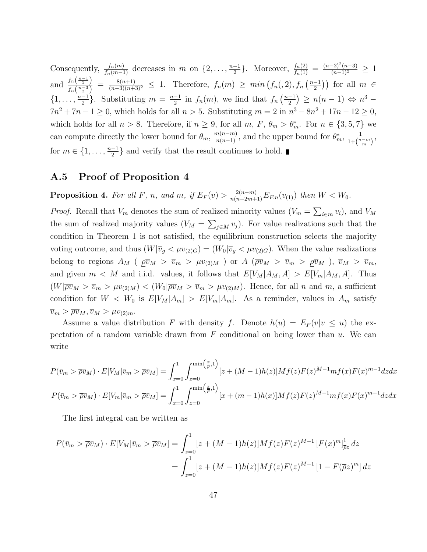Consequently,  $\frac{f_n(m)}{f_n(m-1)}$  decreases in m on  $\{2,\ldots,\frac{n-1}{2}\}$  $\frac{-1}{2}$ . Moreover,  $\frac{f_n(2)}{f_n(1)} = \frac{(n-2)^2(n-3)}{(n-1)^2} \ge 1$ and  $\frac{f_n\left(\frac{n-1}{2}\right)}{f_n\left(\frac{n-3}{2}\right)}$  $\frac{f_n(\frac{n-3}{2})}{f_n(\frac{n-3}{2})} = \frac{8(n+1)}{(n-3)(n+3)^2} \leq 1$ . Therefore,  $f_n(m) \geq min\left(f_n(.2), f_n\left(\frac{n-1}{2}\right)\right)$  $\left(\frac{-1}{2}\right)$ ) for all  $m \in$  $\{1, \ldots, \frac{n-1}{2}\}$  $\frac{-1}{2}$ . Substituting  $m = \frac{n-1}{2}$  $\frac{-1}{2}$  in  $f_n(m)$ , we find that  $f_n\left(\frac{n-1}{2}\right)$  $\frac{-1}{2}$ )  $\geq n(n-1) \Leftrightarrow n^3$  –  $7n^2 + 7n - 1 \ge 0$ , which holds for all  $n > 5$ . Substituting  $m = 2$  in  $n^3 - 8n^2 + 17n - 12 \ge 0$ , which holds for all  $n > 8$ . Therefore, if  $n \ge 9$ , for all  $m, F, \theta_m > \theta_m^*$ . For  $n \in \{3, 5, 7\}$  we can compute directly the lower bound for  $\theta_m$ ,  $\frac{m(n-m)}{n(n-1)}$ , and the upper bound for  $\theta_m^*$ ,  $\frac{1}{1+\binom{n}{m}}$  $\frac{1}{1+\binom{n-m}{m}},$ for  $m \in \{1, \ldots, \frac{n-1}{2}\}$  $\frac{-1}{2}$  and verify that the result continues to hold.

#### A.5 Proof of Proposition 4

**Proposition 4.** For all F, n, and m, if  $E_F(v) > \frac{2(n-m)}{n(n-2m+1)} E_{F,n}(v_{(1)})$  then  $W < W_0$ .

*Proof.* Recall that  $V_m$  denotes the sum of realized minority values  $(V_m = \sum_{i \in m} v_i)$ , and  $V_M$ the sum of realized majority values  $(V_M = \sum_{j \in M} v_j)$ . For value realizations such that the condition in Theorem 1 is not satisfied, the equilibrium construction selects the majority voting outcome, and thus  $(W|\overline{v}_g < \mu v_{(2)G}) = (W_0|\overline{v}_g < \mu v_{(2)G})$ . When the value realizations belong to regions  $A_M$  ( $\overline{p} \overline{v}_M > \overline{v}_m > \mu v_{(2)M}$ ) or  $A$  ( $\overline{\rho} \overline{v}_M > \overline{v}_m > \overline{p} \overline{v}_M$ ),  $\overline{v}_M > \overline{v}_m$ , and given  $m < M$  and i.i.d. values, it follows that  $E[V_M|A_M, A] > E[V_m|A_M, A]$ . Thus  $(W|\overline{\rho v}_M > \overline{v}_m > \mu v_{(2)M}) < (W_0|\overline{\rho v}_M > \overline{v}_m > \mu v_{(2)M})$ . Hence, for all n and m, a sufficient condition for  $W < W_0$  is  $E[V_M|A_m] > E[V_m|A_m]$ . As a reminder, values in  $A_m$  satisfy  $\overline{v}_m > \overline{\rho v}_M, \overline{v}_M > \mu v_{(2)m}.$ 

Assume a value distribution F with density f. Denote  $h(u) = E_F(v|v \le u)$  the expectation of a random variable drawn from  $F$  conditional on being lower than  $u$ . We can write

$$
P(\bar{v}_m > \bar{\rho}\bar{v}_M) \cdot E[V_M|\bar{v}_m > \bar{\rho}\bar{v}_M] = \int_{x=0}^1 \int_{z=0}^{\min\left(\frac{x}{\bar{\rho}}, 1\right)} [z + (M-1)h(z)]Mf(z)F(z)^{M-1}mf(x)F(x)^{m-1}dzdx
$$

$$
P(\bar{v}_m > \bar{\rho}\bar{v}_M) \cdot E[V_m|\bar{v}_m > \bar{\rho}\bar{v}_M] = \int_{x=0}^1 \int_{z=0}^{\min\left(\frac{x}{\bar{\rho}}, 1\right)} [x + (m-1)h(x)]Mf(z)F(z)^{M-1}mf(x)F(x)^{m-1}dzdx
$$

The first integral can be written as

$$
P(\bar{v}_m > \bar{\rho}\bar{v}_M) \cdot E[V_M|\bar{v}_m > \bar{\rho}\bar{v}_M] = \int_{z=0}^1 [z + (M-1)h(z)]Mf(z)F(z)^{M-1} [F(x)^m]_{\bar{\rho}z}^1 dz
$$
  
= 
$$
\int_{z=0}^1 [z + (M-1)h(z)]Mf(z)F(z)^{M-1} [1 - F(\bar{\rho}z)^m] dz
$$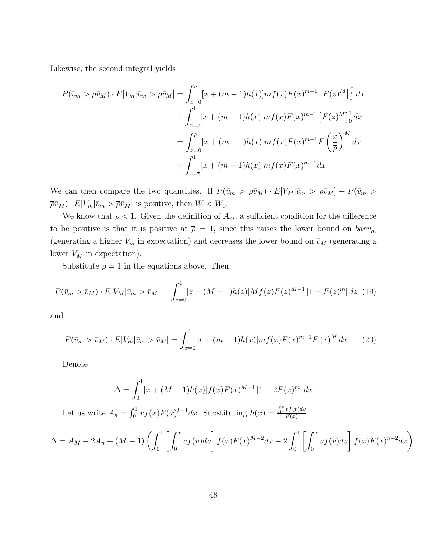Likewise, the second integral yields

$$
P(\bar{v}_m > \bar{\rho}\bar{v}_M) \cdot E[V_m|\bar{v}_m > \bar{\rho}\bar{v}_M] = \int_{x=0}^{\bar{\rho}} [x + (m-1)h(x)]mf(x)F(x)^{m-1} [F(z)^M]_0^{\frac{x}{\bar{\rho}}} dx + \int_{x=\bar{\rho}}^1 [x + (m-1)h(x)]mf(x)F(x)^{m-1} [F(z)^M]_0^1 dx = \int_{x=0}^{\bar{\rho}} [x + (m-1)h(x)]mf(x)F(x)^{m-1}F\left(\frac{x}{\bar{\rho}}\right)^M dx + \int_{x=\bar{\rho}}^1 [x + (m-1)h(x)]mf(x)F(x)^{m-1}dx
$$

We can then compare the two quantities. If  $P(\bar{v}_m > \bar{\rho} \bar{v}_M) \cdot E[V_M | \bar{v}_m > \bar{\rho} \bar{v}_M] - P(\bar{v}_m >$  $\overline{\rho v}_M) \cdot E[V_m | \overline{v}_m > \overline{\rho v}_M]$  is positive, then  $W < W_0$ .

We know that  $\bar{\rho} < 1$ . Given the definition of  $A_m$ , a sufficient condition for the difference to be positive is that it is positive at  $\bar{\rho} = 1$ , since this raises the lower bound on  $barv_m$ (generating a higher  $V_m$  in expectation) and decreases the lower bound on  $\bar{v}_M$  (generating a lower  $V_M$  in expectation).

Substitute  $\bar{\rho} = 1$  in the equations above. Then,

$$
P(\bar{v}_m > \bar{v}_M) \cdot E[V_M | \bar{v}_m > \bar{v}_M] = \int_{z=0}^1 [z + (M-1)h(z)]Mf(z)F(z)^{M-1} [1 - F(z)^m] dz
$$
 (19)

and

$$
P(\bar{v}_m > \bar{v}_M) \cdot E[V_m | \bar{v}_m > \bar{v}_M] = \int_{x=0}^1 [x + (m-1)h(x)]mf(x)F(x)^{m-1}F(x)^M dx \qquad (20)
$$

Denote

$$
\Delta = \int_0^1 [x + (M-1)h(x)]f(x)F(x)^{M-1} [1 - 2F(x)^m] dx
$$

Let us write  $A_k = \int_0^1 x f(x) F(x)^{k-1} dx$ . Substituting  $h(x) = \frac{\int_0^x v f(v) dv}{F(x)}$  $\frac{v_J(v)av}{F(x)},$ 

$$
\Delta = A_M - 2A_n + (M - 1) \left( \int_0^1 \left[ \int_0^x v f(v) dv \right] f(x) F(x)^{M-2} dx - 2 \int_0^1 \left[ \int_0^x v f(v) dv \right] f(x) F(x)^{n-2} dx \right)
$$